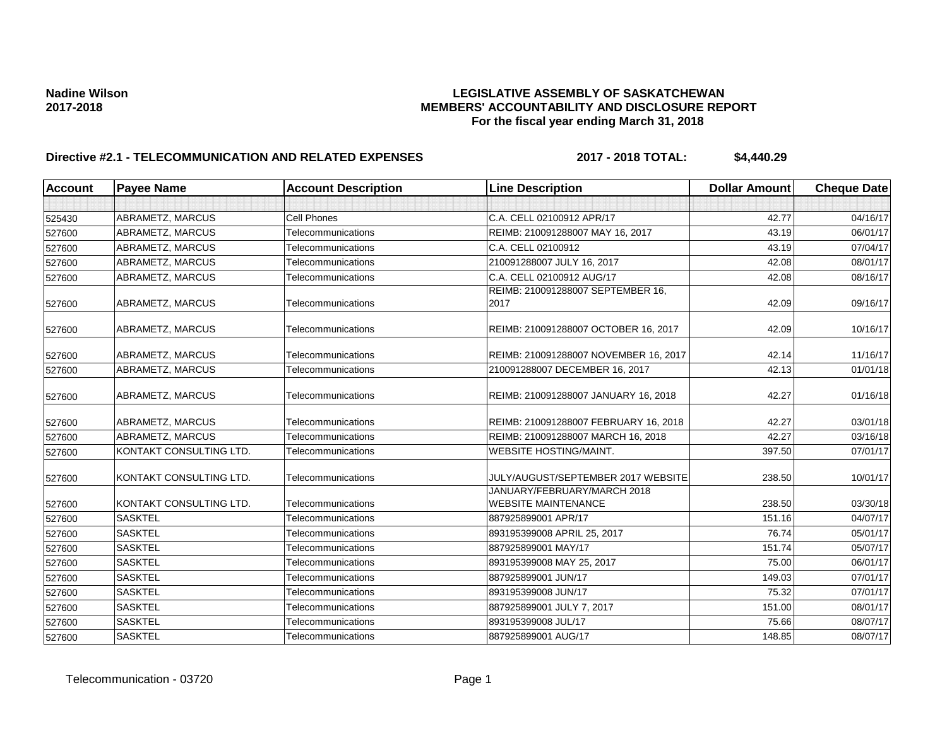### **Nadine Wilson LEGISLATIVE ASSEMBLY OF SASKATCHEWAN 2017-2018 MEMBERS' ACCOUNTABILITY AND DISCLOSURE REPORT For the fiscal year ending March 31, 2018**

# **Directive #2.1 - TELECOMMUNICATION AND RELATED EXPENSES 2017 - 2018 TOTAL: \$4,440.29**

| <b>Account</b> | <b>Payee Name</b>       | <b>Account Description</b> | <b>Line Description</b>                                   | <b>Dollar Amount</b> | <b>Cheque Date</b> |
|----------------|-------------------------|----------------------------|-----------------------------------------------------------|----------------------|--------------------|
|                |                         |                            |                                                           |                      |                    |
| 525430         | ABRAMETZ, MARCUS        | <b>Cell Phones</b>         | C.A. CELL 02100912 APR/17                                 | 42.77                | 04/16/17           |
| 527600         | ABRAMETZ, MARCUS        | <b>Telecommunications</b>  | REIMB: 210091288007 MAY 16, 2017                          | 43.19                | 06/01/17           |
| 527600         | ABRAMETZ, MARCUS        | Telecommunications         | C.A. CELL 02100912                                        | 43.19                | 07/04/17           |
| 527600         | ABRAMETZ, MARCUS        | Telecommunications         | 210091288007 JULY 16, 2017                                | 42.08                | 08/01/17           |
| 527600         | ABRAMETZ, MARCUS        | Telecommunications         | C.A. CELL 02100912 AUG/17                                 | 42.08                | 08/16/17           |
| 527600         | ABRAMETZ, MARCUS        | Telecommunications         | REIMB: 210091288007 SEPTEMBER 16,<br>2017                 | 42.09                | 09/16/17           |
| 527600         | ABRAMETZ, MARCUS        | Telecommunications         | REIMB: 210091288007 OCTOBER 16, 2017                      | 42.09                | 10/16/17           |
| 527600         | ABRAMETZ, MARCUS        | Telecommunications         | REIMB: 210091288007 NOVEMBER 16, 2017                     | 42.14                | 11/16/17           |
| 527600         | ABRAMETZ, MARCUS        | Telecommunications         | 210091288007 DECEMBER 16, 2017                            | 42.13                | 01/01/18           |
| 527600         | ABRAMETZ, MARCUS        | Telecommunications         | REIMB: 210091288007 JANUARY 16, 2018                      | 42.27                | 01/16/18           |
| 527600         | ABRAMETZ, MARCUS        | Telecommunications         | REIMB: 210091288007 FEBRUARY 16, 2018                     | 42.27                | 03/01/18           |
| 527600         | ABRAMETZ, MARCUS        | Telecommunications         | REIMB: 210091288007 MARCH 16, 2018                        | 42.27                | 03/16/18           |
| 527600         | KONTAKT CONSULTING LTD. | Telecommunications         | WEBSITE HOSTING/MAINT.                                    | 397.50               | 07/01/17           |
| 527600         | KONTAKT CONSULTING LTD. | Telecommunications         | JULY/AUGUST/SEPTEMBER 2017 WEBSITE                        | 238.50               | 10/01/17           |
| 527600         | KONTAKT CONSULTING LTD. | Telecommunications         | JANUARY/FEBRUARY/MARCH 2018<br><b>WEBSITE MAINTENANCE</b> | 238.50               | 03/30/18           |
| 527600         | <b>SASKTEL</b>          | Telecommunications         | 887925899001 APR/17                                       | 151.16               | 04/07/17           |
| 527600         | <b>SASKTEL</b>          | Telecommunications         | 893195399008 APRIL 25, 2017                               | 76.74                | 05/01/17           |
| 527600         | <b>SASKTEL</b>          | Telecommunications         | 887925899001 MAY/17                                       | 151.74               | 05/07/17           |
| 527600         | <b>SASKTEL</b>          | Telecommunications         | 893195399008 MAY 25, 2017                                 | 75.00                | 06/01/17           |
| 527600         | <b>SASKTEL</b>          | Telecommunications         | 887925899001 JUN/17                                       | 149.03               | 07/01/17           |
| 527600         | <b>SASKTEL</b>          | Telecommunications         | 893195399008 JUN/17                                       | 75.32                | 07/01/17           |
| 527600         | <b>SASKTEL</b>          | Telecommunications         | 887925899001 JULY 7, 2017                                 | 151.00               | 08/01/17           |
| 527600         | <b>SASKTEL</b>          | Telecommunications         | 893195399008 JUL/17                                       | 75.66                | 08/07/17           |
| 527600         | <b>SASKTEL</b>          | Telecommunications         | 887925899001 AUG/17                                       | 148.85               | 08/07/17           |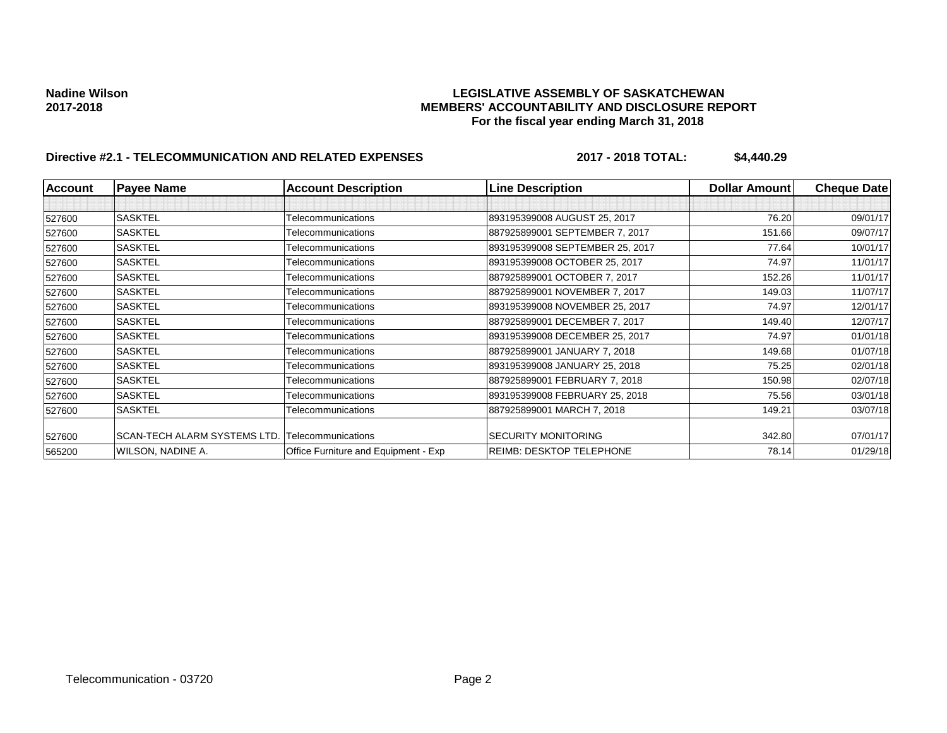### **Nadine Wilson LEGISLATIVE ASSEMBLY OF SASKATCHEWAN 2017-2018 MEMBERS' ACCOUNTABILITY AND DISCLOSURE REPORT For the fiscal year ending March 31, 2018**

# **Directive #2.1 - TELECOMMUNICATION AND RELATED EXPENSES 2017 - 2018 TOTAL: \$4,440.29**

| <b>Account</b> | <b>Payee Name</b>            | <b>Account Description</b>           | <b>Line Description</b>         | <b>Dollar Amountl</b> | <b>Cheque Date</b> |
|----------------|------------------------------|--------------------------------------|---------------------------------|-----------------------|--------------------|
|                |                              |                                      |                                 |                       |                    |
| 527600         | <b>SASKTEL</b>               | Telecommunications                   | 893195399008 AUGUST 25, 2017    | 76.20                 | 09/01/17           |
| 527600         | <b>SASKTEL</b>               | Telecommunications                   | 887925899001 SEPTEMBER 7, 2017  | 151.66                | 09/07/17           |
| 527600         | <b>SASKTEL</b>               | Telecommunications                   | 893195399008 SEPTEMBER 25, 2017 | 77.64                 | 10/01/17           |
| 527600         | <b>SASKTEL</b>               | Telecommunications                   | 893195399008 OCTOBER 25, 2017   | 74.97                 | 11/01/17           |
| 527600         | <b>SASKTEL</b>               | Telecommunications                   | 887925899001 OCTOBER 7, 2017    | 152.26                | 11/01/17           |
| 527600         | <b>SASKTEL</b>               | Telecommunications                   | 887925899001 NOVEMBER 7, 2017   | 149.03                | 11/07/17           |
| 527600         | <b>SASKTEL</b>               | Telecommunications                   | 893195399008 NOVEMBER 25, 2017  | 74.97                 | 12/01/17           |
| 527600         | <b>SASKTEL</b>               | Telecommunications                   | 887925899001 DECEMBER 7, 2017   | 149.40                | 12/07/17           |
| 527600         | <b>SASKTEL</b>               | Telecommunications                   | 893195399008 DECEMBER 25, 2017  | 74.97                 | 01/01/18           |
| 527600         | <b>SASKTEL</b>               | Telecommunications                   | 887925899001 JANUARY 7, 2018    | 149.68                | 01/07/18           |
| 527600         | <b>SASKTEL</b>               | Telecommunications                   | 893195399008 JANUARY 25, 2018   | 75.25                 | 02/01/18           |
| 527600         | <b>SASKTEL</b>               | Telecommunications                   | 887925899001 FEBRUARY 7, 2018   | 150.98                | 02/07/18           |
| 527600         | <b>SASKTEL</b>               | Telecommunications                   | 893195399008 FEBRUARY 25, 2018  | 75.56                 | 03/01/18           |
| 527600         | <b>SASKTEL</b>               | Telecommunications                   | 887925899001 MARCH 7, 2018      | 149.21                | 03/07/18           |
| 527600         | SCAN-TECH ALARM SYSTEMS LTD. | Telecommunications                   | <b>SECURITY MONITORING</b>      | 342.80                | 07/01/17           |
| 565200         | WILSON, NADINE A.            | Office Furniture and Equipment - Exp | <b>REIMB: DESKTOP TELEPHONE</b> | 78.14                 | 01/29/18           |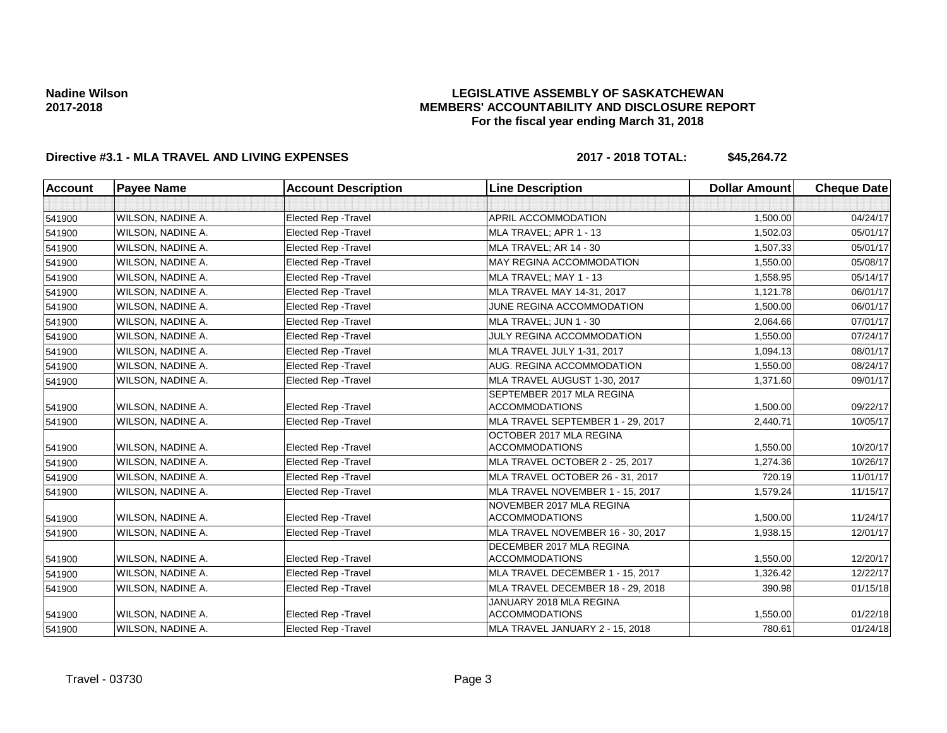### **LEGISLATIVE ASSEMBLY OF SASKATCHEWAN MEMBERS' ACCOUNTABILITY AND DISCLOSURE REPORT For the fiscal year ending March 31, 2018**

## **Directive #3.1 - MLA TRAVEL AND LIVING EXPENSES 2017 - 2018 TOTAL: \$45,264.72**

| <b>Account</b> | <b>Payee Name</b> | <b>Account Description</b>  | <b>Line Description</b>                            | <b>Dollar Amount</b> | <b>Cheque Date</b> |
|----------------|-------------------|-----------------------------|----------------------------------------------------|----------------------|--------------------|
|                |                   |                             |                                                    |                      |                    |
| 541900         | WILSON, NADINE A. | Elected Rep - Travel        | APRIL ACCOMMODATION                                | 1,500.00             | 04/24/17           |
| 541900         | WILSON, NADINE A. | <b>Elected Rep - Travel</b> | MLA TRAVEL; APR 1 - 13                             | 1,502.03             | 05/01/17           |
| 541900         | WILSON, NADINE A. | <b>Elected Rep - Travel</b> | MLA TRAVEL; AR 14 - 30                             | 1,507.33             | 05/01/17           |
| 541900         | WILSON, NADINE A. | Elected Rep - Travel        | MAY REGINA ACCOMMODATION                           | 1,550.00             | 05/08/17           |
| 541900         | WILSON, NADINE A. | <b>Elected Rep - Travel</b> | MLA TRAVEL; MAY 1 - 13                             | 1,558.95             | 05/14/17           |
| 541900         | WILSON, NADINE A. | <b>Elected Rep - Travel</b> | MLA TRAVEL MAY 14-31, 2017                         | 1,121.78             | 06/01/17           |
| 541900         | WILSON, NADINE A. | <b>Elected Rep - Travel</b> | JUNE REGINA ACCOMMODATION                          | 1.500.00             | 06/01/17           |
| 541900         | WILSON, NADINE A. | <b>Elected Rep - Travel</b> | MLA TRAVEL; JUN 1 - 30                             | 2,064.66             | 07/01/17           |
| 541900         | WILSON, NADINE A. | <b>Elected Rep - Travel</b> | JULY REGINA ACCOMMODATION                          | 1.550.00             | 07/24/17           |
| 541900         | WILSON, NADINE A. | Elected Rep - Travel        | MLA TRAVEL JULY 1-31, 2017                         | 1,094.13             | 08/01/17           |
| 541900         | WILSON, NADINE A. | <b>Elected Rep - Travel</b> | AUG. REGINA ACCOMMODATION                          | 1,550.00             | 08/24/17           |
| 541900         | WILSON, NADINE A. | <b>Elected Rep - Travel</b> | MLA TRAVEL AUGUST 1-30, 2017                       | 1,371.60             | 09/01/17           |
| 541900         | WILSON, NADINE A. | <b>Elected Rep - Travel</b> | SEPTEMBER 2017 MLA REGINA<br><b>ACCOMMODATIONS</b> | 1,500.00             | 09/22/17           |
| 541900         | WILSON, NADINE A. | Elected Rep - Travel        | MLA TRAVEL SEPTEMBER 1 - 29, 2017                  | 2,440.71             | 10/05/17           |
| 541900         | WILSON, NADINE A. | <b>Elected Rep - Travel</b> | OCTOBER 2017 MLA REGINA<br><b>ACCOMMODATIONS</b>   | 1,550.00             | 10/20/17           |
| 541900         | WILSON, NADINE A. | <b>Elected Rep - Travel</b> | MLA TRAVEL OCTOBER 2 - 25, 2017                    | 1,274.36             | 10/26/17           |
| 541900         | WILSON, NADINE A. | <b>Elected Rep - Travel</b> | MLA TRAVEL OCTOBER 26 - 31, 2017                   | 720.19               | 11/01/17           |
| 541900         | WILSON, NADINE A. | <b>Elected Rep - Travel</b> | MLA TRAVEL NOVEMBER 1 - 15, 2017                   | 1,579.24             | 11/15/17           |
| 541900         | WILSON, NADINE A. | <b>Elected Rep - Travel</b> | NOVEMBER 2017 MLA REGINA<br><b>ACCOMMODATIONS</b>  | 1,500.00             | 11/24/17           |
| 541900         | WILSON, NADINE A. | <b>Elected Rep - Travel</b> | MLA TRAVEL NOVEMBER 16 - 30, 2017                  | 1,938.15             | 12/01/17           |
| 541900         | WILSON, NADINE A. | <b>Elected Rep - Travel</b> | DECEMBER 2017 MLA REGINA<br><b>ACCOMMODATIONS</b>  | 1,550.00             | 12/20/17           |
| 541900         | WILSON, NADINE A. | Elected Rep - Travel        | MLA TRAVEL DECEMBER 1 - 15, 2017                   | 1,326.42             | 12/22/17           |
| 541900         | WILSON, NADINE A. | <b>Elected Rep - Travel</b> | MLA TRAVEL DECEMBER 18 - 29, 2018                  | 390.98               | 01/15/18           |
| 541900         | WILSON, NADINE A. | <b>Elected Rep - Travel</b> | JANUARY 2018 MLA REGINA<br><b>ACCOMMODATIONS</b>   | 1,550.00             | 01/22/18           |
| 541900         | WILSON, NADINE A. | <b>Elected Rep - Travel</b> | MLA TRAVEL JANUARY 2 - 15, 2018                    | 780.61               | 01/24/18           |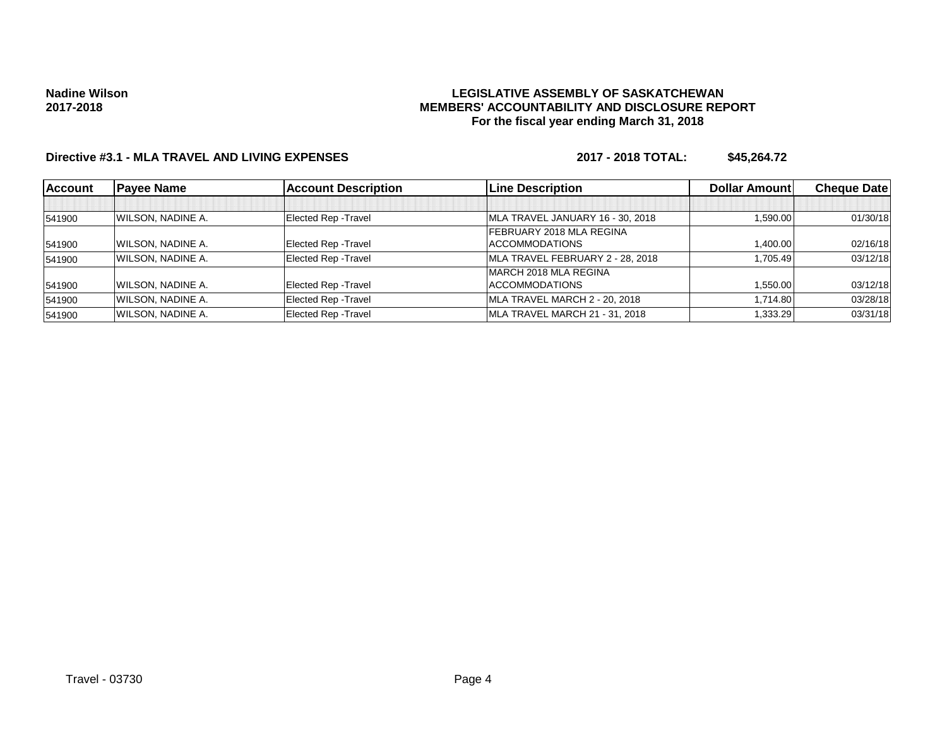### **LEGISLATIVE ASSEMBLY OF SASKATCHEWAN MEMBERS' ACCOUNTABILITY AND DISCLOSURE REPORT For the fiscal year ending March 31, 2018**

# **Directive #3.1 - MLA TRAVEL AND LIVING EXPENSES 2017 - 2018 TOTAL: \$45,264.72**

| <b>Account</b> | <b>Payee Name</b> | <b>Account Description</b>  | <b>ILine Description</b>         | <b>Dollar Amountl</b> | <b>Cheque Datel</b> |
|----------------|-------------------|-----------------------------|----------------------------------|-----------------------|---------------------|
|                |                   |                             |                                  |                       |                     |
| 541900         | WILSON, NADINE A. | Elected Rep - Travel        | MLA TRAVEL JANUARY 16 - 30, 2018 | 1,590.00              | 01/30/18            |
|                |                   |                             | FEBRUARY 2018 MLA REGINA         |                       |                     |
| 541900         | WILSON, NADINE A. | <b>Elected Rep - Travel</b> | ACCOMMODATIONS                   | 1,400.00              | 02/16/18            |
| 541900         | WILSON, NADINE A. | <b>Elected Rep - Travel</b> | MLA TRAVEL FEBRUARY 2 - 28, 2018 | 1.705.49              | 03/12/18            |
|                |                   |                             | IMARCH 2018 MLA REGINA           |                       |                     |
| 541900         | WILSON, NADINE A. | Elected Rep - Travel        | ACCOMMODATIONS                   | 1,550.00              | 03/12/18            |
| 541900         | WILSON, NADINE A. | <b>Elected Rep - Travel</b> | MLA TRAVEL MARCH 2 - 20, 2018    | 1,714.80              | 03/28/18            |
| 541900         | WILSON, NADINE A. | Elected Rep - Travel        | MLA TRAVEL MARCH 21 - 31, 2018   | 1,333.29              | 03/31/18            |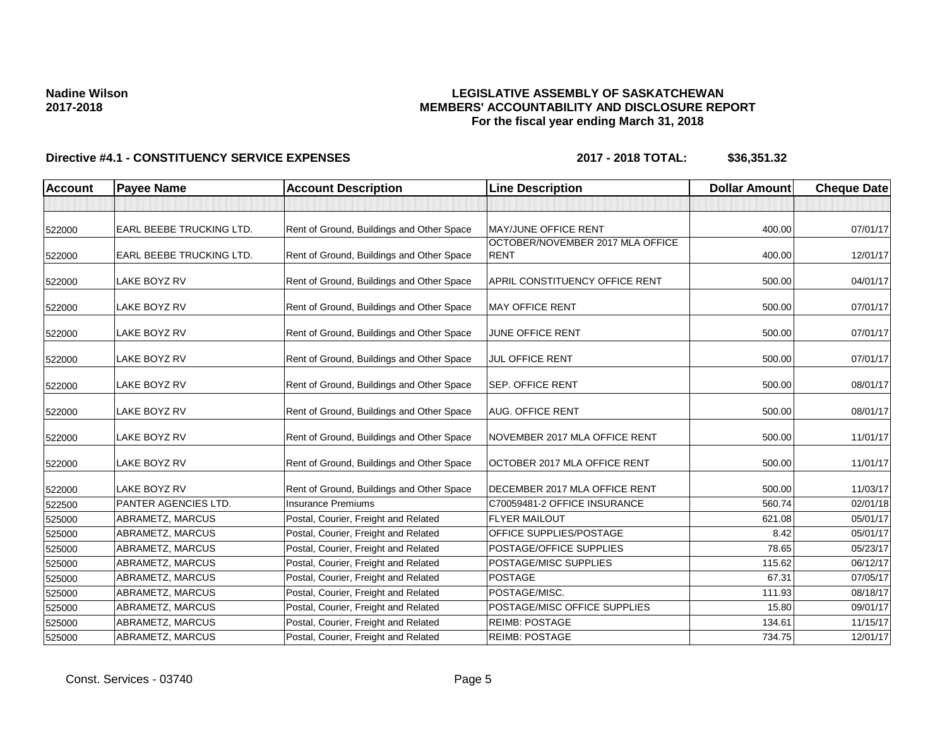### **LEGISLATIVE ASSEMBLY OF SASKATCHEWAN MEMBERS' ACCOUNTABILITY AND DISCLOSURE REPORT For the fiscal year ending March 31, 2018**

| <b>Account</b> | <b>Payee Name</b>               | <b>Account Description</b>                | <b>Line Description</b>                         | <b>Dollar Amount</b> | <b>Cheque Date</b> |
|----------------|---------------------------------|-------------------------------------------|-------------------------------------------------|----------------------|--------------------|
|                |                                 |                                           |                                                 |                      |                    |
| 522000         | <b>EARL BEEBE TRUCKING LTD.</b> | Rent of Ground, Buildings and Other Space | <b>MAY/JUNE OFFICE RENT</b>                     | 400.00               | 07/01/17           |
| 522000         | EARL BEEBE TRUCKING LTD.        | Rent of Ground, Buildings and Other Space | OCTOBER/NOVEMBER 2017 MLA OFFICE<br><b>RENT</b> | 400.00               | 12/01/17           |
| 522000         | LAKE BOYZ RV                    | Rent of Ground, Buildings and Other Space | APRIL CONSTITUENCY OFFICE RENT                  | 500.00               | 04/01/17           |
| 522000         | LAKE BOYZ RV                    | Rent of Ground, Buildings and Other Space | <b>MAY OFFICE RENT</b>                          | 500.00               | 07/01/17           |
| 522000         | LAKE BOYZ RV                    | Rent of Ground, Buildings and Other Space | JUNE OFFICE RENT                                | 500.00               | 07/01/17           |
| 522000         | LAKE BOYZ RV                    | Rent of Ground, Buildings and Other Space | JUL OFFICE RENT                                 | 500.00               | 07/01/17           |
| 522000         | LAKE BOYZ RV                    | Rent of Ground, Buildings and Other Space | <b>SEP. OFFICE RENT</b>                         | 500.00               | 08/01/17           |
| 522000         | LAKE BOYZ RV                    | Rent of Ground, Buildings and Other Space | <b>AUG. OFFICE RENT</b>                         | 500.00               | 08/01/17           |
| 522000         | LAKE BOYZ RV                    | Rent of Ground, Buildings and Other Space | NOVEMBER 2017 MLA OFFICE RENT                   | 500.00               | 11/01/17           |
| 522000         | LAKE BOYZ RV                    | Rent of Ground, Buildings and Other Space | OCTOBER 2017 MLA OFFICE RENT                    | 500.00               | 11/01/17           |
| 522000         | LAKE BOYZ RV                    | Rent of Ground, Buildings and Other Space | DECEMBER 2017 MLA OFFICE RENT                   | 500.00               | 11/03/17           |
| 522500         | PANTER AGENCIES LTD.            | <b>Insurance Premiums</b>                 | C70059481-2 OFFICE INSURANCE                    | 560.74               | 02/01/18           |
| 525000         | ABRAMETZ, MARCUS                | Postal, Courier, Freight and Related      | <b>FLYER MAILOUT</b>                            | 621.08               | 05/01/17           |
| 525000         | ABRAMETZ, MARCUS                | Postal, Courier, Freight and Related      | OFFICE SUPPLIES/POSTAGE                         | 8.42                 | 05/01/17           |
| 525000         | ABRAMETZ, MARCUS                | Postal, Courier, Freight and Related      | POSTAGE/OFFICE SUPPLIES                         | 78.65                | 05/23/17           |
| 525000         | ABRAMETZ, MARCUS                | Postal, Courier, Freight and Related      | POSTAGE/MISC SUPPLIES                           | 115.62               | 06/12/17           |
| 525000         | ABRAMETZ, MARCUS                | Postal, Courier, Freight and Related      | <b>POSTAGE</b>                                  | 67.31                | 07/05/17           |
| 525000         | ABRAMETZ, MARCUS                | Postal, Courier, Freight and Related      | POSTAGE/MISC.                                   | 111.93               | 08/18/17           |
| 525000         | ABRAMETZ, MARCUS                | Postal, Courier, Freight and Related      | POSTAGE/MISC OFFICE SUPPLIES                    | 15.80                | 09/01/17           |
| 525000         | ABRAMETZ, MARCUS                | Postal, Courier, Freight and Related      | <b>REIMB: POSTAGE</b>                           | 134.61               | 11/15/17           |
| 525000         | ABRAMETZ, MARCUS                | Postal, Courier, Freight and Related      | <b>REIMB: POSTAGE</b>                           | 734.75               | 12/01/17           |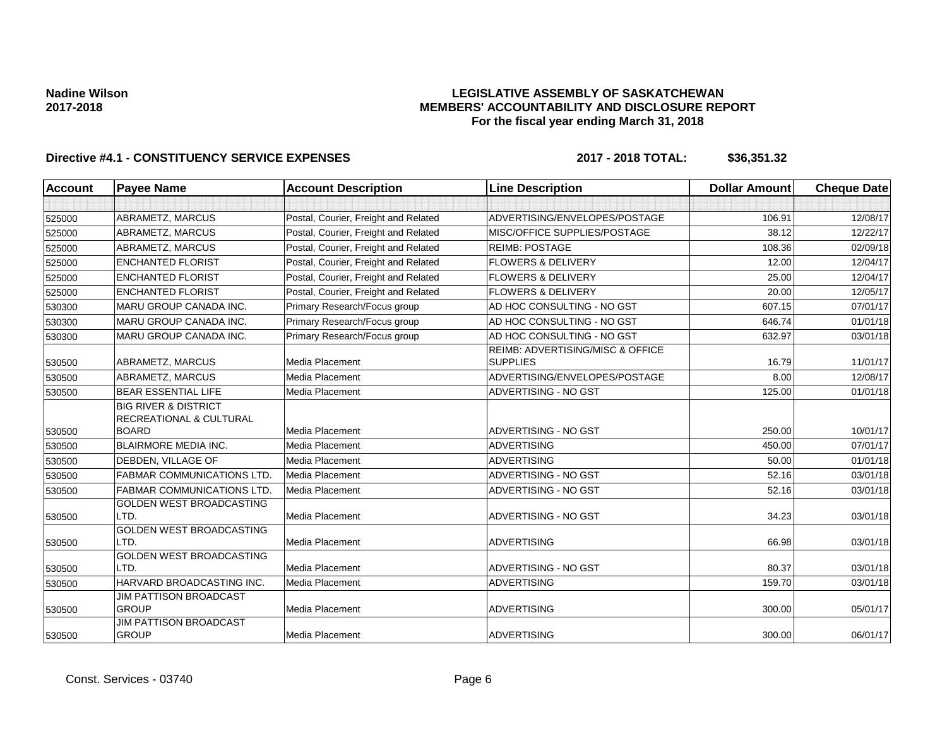### **LEGISLATIVE ASSEMBLY OF SASKATCHEWAN MEMBERS' ACCOUNTABILITY AND DISCLOSURE REPORT For the fiscal year ending March 31, 2018**

| <b>Account</b> | <b>Payee Name</b>                                                     | <b>Account Description</b>           | <b>Line Description</b>                             | <b>Dollar Amount</b> | <b>Cheque Date</b> |
|----------------|-----------------------------------------------------------------------|--------------------------------------|-----------------------------------------------------|----------------------|--------------------|
|                |                                                                       |                                      |                                                     |                      |                    |
| 525000         | ABRAMETZ, MARCUS                                                      | Postal, Courier, Freight and Related | ADVERTISING/ENVELOPES/POSTAGE                       | 106.91               | 12/08/17           |
| 525000         | ABRAMETZ, MARCUS                                                      | Postal, Courier, Freight and Related | MISC/OFFICE SUPPLIES/POSTAGE                        | 38.12                | 12/22/17           |
| 525000         | ABRAMETZ, MARCUS                                                      | Postal, Courier, Freight and Related | <b>REIMB: POSTAGE</b>                               | 108.36               | 02/09/18           |
| 525000         | <b>ENCHANTED FLORIST</b>                                              | Postal, Courier, Freight and Related | <b>FLOWERS &amp; DELIVERY</b>                       | 12.00                | 12/04/17           |
| 525000         | <b>ENCHANTED FLORIST</b>                                              | Postal, Courier, Freight and Related | <b>FLOWERS &amp; DELIVERY</b>                       | 25.00                | 12/04/17           |
| 525000         | <b>ENCHANTED FLORIST</b>                                              | Postal, Courier, Freight and Related | <b>FLOWERS &amp; DELIVERY</b>                       | 20.00                | 12/05/17           |
| 530300         | <b>MARU GROUP CANADA INC.</b>                                         | Primary Research/Focus group         | AD HOC CONSULTING - NO GST                          | 607.15               | 07/01/17           |
| 530300         | <b>MARU GROUP CANADA INC.</b>                                         | Primary Research/Focus group         | AD HOC CONSULTING - NO GST                          | 646.74               | 01/01/18           |
| 530300         | MARU GROUP CANADA INC.                                                | Primary Research/Focus group         | AD HOC CONSULTING - NO GST                          | 632.97               | 03/01/18           |
| 530500         | ABRAMETZ, MARCUS                                                      | <b>Media Placement</b>               | REIMB: ADVERTISING/MISC & OFFICE<br><b>SUPPLIES</b> | 16.79                | 11/01/17           |
| 530500         | ABRAMETZ, MARCUS                                                      | Media Placement                      | ADVERTISING/ENVELOPES/POSTAGE                       | 8.00                 | 12/08/17           |
| 530500         | <b>BEAR ESSENTIAL LIFE</b>                                            | Media Placement                      | ADVERTISING - NO GST                                | 125.00               | 01/01/18           |
|                | <b>BIG RIVER &amp; DISTRICT</b><br><b>RECREATIONAL &amp; CULTURAL</b> |                                      |                                                     |                      |                    |
| 530500         | <b>BOARD</b>                                                          | <b>Media Placement</b>               | ADVERTISING - NO GST                                | 250.00               | 10/01/17           |
| 530500         | <b>BLAIRMORE MEDIA INC.</b>                                           | Media Placement                      | <b>ADVERTISING</b>                                  | 450.00               | 07/01/17           |
| 530500         | DEBDEN, VILLAGE OF                                                    | Media Placement                      | <b>ADVERTISING</b>                                  | 50.00                | 01/01/18           |
| 530500         | <b>FABMAR COMMUNICATIONS LTD.</b>                                     | Media Placement                      | ADVERTISING - NO GST                                | 52.16                | 03/01/18           |
| 530500         | <b>FABMAR COMMUNICATIONS LTD.</b>                                     | Media Placement                      | ADVERTISING - NO GST                                | 52.16                | 03/01/18           |
| 530500         | <b>GOLDEN WEST BROADCASTING</b><br>LTD.                               | Media Placement                      | ADVERTISING - NO GST                                | 34.23                | 03/01/18           |
| 530500         | GOLDEN WEST BROADCASTING<br>LTD.                                      | Media Placement                      | <b>ADVERTISING</b>                                  | 66.98                | 03/01/18           |
| 530500         | GOLDEN WEST BROADCASTING<br>LTD.                                      | Media Placement                      | ADVERTISING - NO GST                                | 80.37                | 03/01/18           |
| 530500         | HARVARD BROADCASTING INC.                                             | Media Placement                      | <b>ADVERTISING</b>                                  | 159.70               | 03/01/18           |
| 530500         | <b>JIM PATTISON BROADCAST</b><br><b>GROUP</b>                         | Media Placement                      | <b>ADVERTISING</b>                                  | 300.00               | 05/01/17           |
| 530500         | <b>JIM PATTISON BROADCAST</b><br><b>GROUP</b>                         | Media Placement                      | <b>ADVERTISING</b>                                  | 300.00               | 06/01/17           |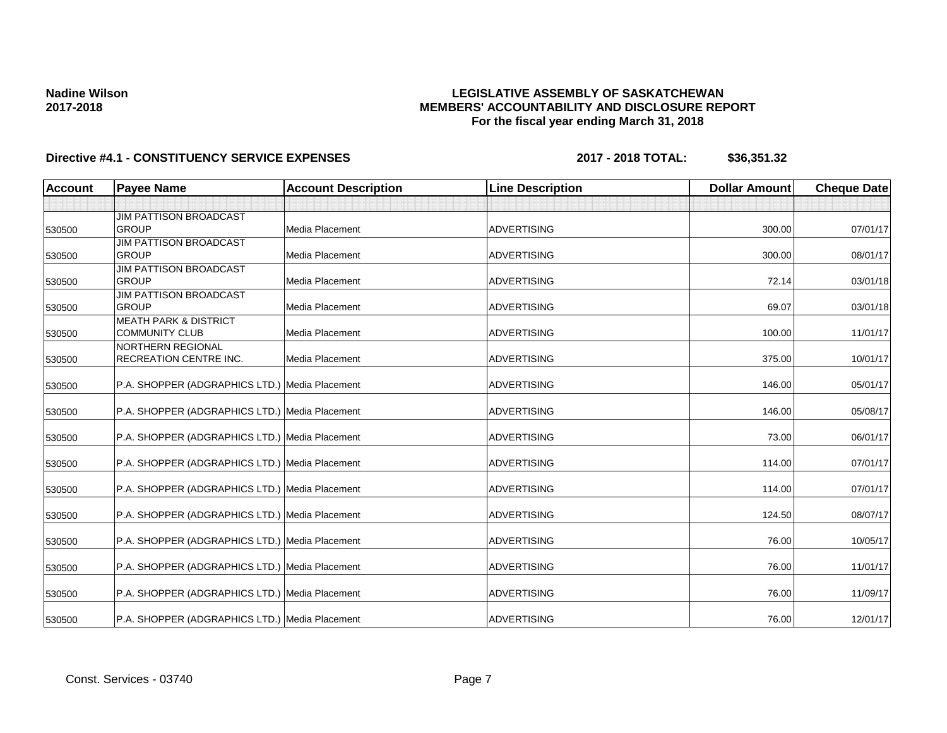### **LEGISLATIVE ASSEMBLY OF SASKATCHEWAN MEMBERS' ACCOUNTABILITY AND DISCLOSURE REPORT For the fiscal year ending March 31, 2018**

| <b>Account</b>   | <b>Payee Name</b>                                                                                | <b>Account Description</b> | <b>Line Description</b>                  | <b>Dollar Amount</b> | <b>Cheque Date</b> |
|------------------|--------------------------------------------------------------------------------------------------|----------------------------|------------------------------------------|----------------------|--------------------|
|                  |                                                                                                  |                            |                                          |                      |                    |
|                  | <b>JIM PATTISON BROADCAST</b>                                                                    |                            |                                          |                      |                    |
| 530500           | <b>GROUP</b>                                                                                     | Media Placement            | <b>ADVERTISING</b>                       | 300.00               | 07/01/17           |
|                  | <b>JIM PATTISON BROADCAST</b>                                                                    |                            |                                          |                      |                    |
| 530500           | <b>GROUP</b>                                                                                     | Media Placement            | <b>ADVERTISING</b>                       | 300.00               | 08/01/17           |
|                  | <b>JIM PATTISON BROADCAST</b>                                                                    |                            |                                          |                      |                    |
| 530500           | <b>GROUP</b>                                                                                     | Media Placement            | <b>ADVERTISING</b>                       | 72.14                | 03/01/18           |
|                  | <b>JIM PATTISON BROADCAST</b>                                                                    |                            |                                          |                      |                    |
| 530500           | <b>GROUP</b>                                                                                     | Media Placement            | <b>ADVERTISING</b>                       | 69.07                | 03/01/18           |
|                  | <b>MEATH PARK &amp; DISTRICT</b>                                                                 |                            |                                          |                      |                    |
| 530500           | <b>COMMUNITY CLUB</b>                                                                            | Media Placement            | <b>ADVERTISING</b>                       | 100.00               | 11/01/17           |
|                  | <b>NORTHERN REGIONAL</b>                                                                         |                            |                                          |                      |                    |
| 530500           | RECREATION CENTRE INC.                                                                           | Media Placement            | <b>ADVERTISING</b>                       | 375.00               | 10/01/17           |
|                  |                                                                                                  |                            |                                          |                      |                    |
| 530500           | P.A. SHOPPER (ADGRAPHICS LTD.) Media Placement                                                   |                            | <b>ADVERTISING</b>                       | 146.00               | 05/01/17           |
| 530500           | P.A. SHOPPER (ADGRAPHICS LTD.) Media Placement                                                   |                            | <b>ADVERTISING</b>                       | 146.00               | 05/08/17           |
|                  |                                                                                                  |                            |                                          |                      |                    |
| 530500           | P.A. SHOPPER (ADGRAPHICS LTD.) Media Placement                                                   |                            | <b>ADVERTISING</b>                       | 73.00                | 06/01/17           |
|                  |                                                                                                  |                            |                                          |                      |                    |
| 530500           | P.A. SHOPPER (ADGRAPHICS LTD.) Media Placement                                                   |                            | <b>ADVERTISING</b>                       | 114.00               | 07/01/17           |
| 530500           | P.A. SHOPPER (ADGRAPHICS LTD.) Media Placement                                                   |                            | <b>ADVERTISING</b>                       | 114.00               | 07/01/17           |
|                  |                                                                                                  |                            |                                          |                      |                    |
| 530500           | P.A. SHOPPER (ADGRAPHICS LTD.) Media Placement                                                   |                            | <b>ADVERTISING</b>                       | 124.50               | 08/07/17           |
|                  | P.A. SHOPPER (ADGRAPHICS LTD.) Media Placement                                                   |                            | <b>ADVERTISING</b>                       | 76.00                | 10/05/17           |
| 530500           |                                                                                                  |                            |                                          |                      |                    |
|                  |                                                                                                  |                            |                                          |                      | 11/01/17           |
|                  |                                                                                                  |                            |                                          |                      |                    |
| 530500           | P.A. SHOPPER (ADGRAPHICS LTD.) Media Placement                                                   |                            | ADVERTISING                              | 76.00                | 11/09/17           |
|                  |                                                                                                  |                            |                                          |                      | 12/01/17           |
| 530500<br>530500 | P.A. SHOPPER (ADGRAPHICS LTD.) Media Placement<br>P.A. SHOPPER (ADGRAPHICS LTD.) Media Placement |                            | <b>ADVERTISING</b><br><b>ADVERTISING</b> | 76.00<br>76.00       |                    |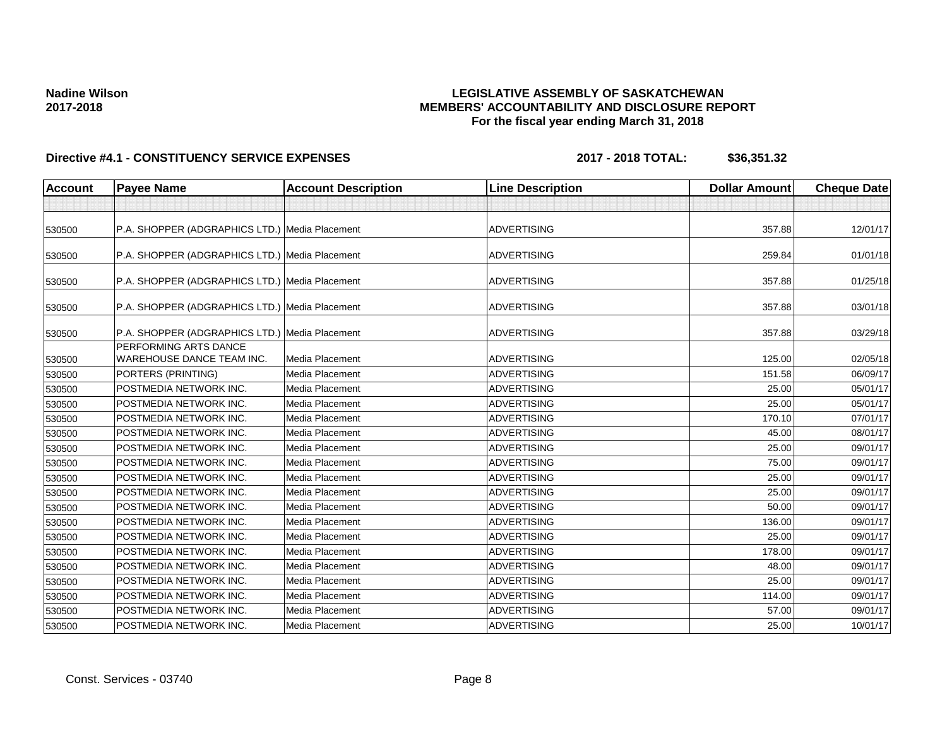### **LEGISLATIVE ASSEMBLY OF SASKATCHEWAN MEMBERS' ACCOUNTABILITY AND DISCLOSURE REPORT For the fiscal year ending March 31, 2018**

| <b>Account</b> | <b>Payee Name</b>                                         | <b>Account Description</b> | <b>Line Description</b> | <b>Dollar Amount</b> | <b>Cheque Date</b> |
|----------------|-----------------------------------------------------------|----------------------------|-------------------------|----------------------|--------------------|
|                |                                                           |                            |                         |                      |                    |
| 530500         | P.A. SHOPPER (ADGRAPHICS LTD.) Media Placement            |                            | <b>ADVERTISING</b>      | 357.88               | 12/01/17           |
| 530500         | P.A. SHOPPER (ADGRAPHICS LTD.) Media Placement            |                            | <b>ADVERTISING</b>      | 259.84               | 01/01/18           |
| 530500         | P.A. SHOPPER (ADGRAPHICS LTD.) Media Placement            |                            | <b>ADVERTISING</b>      | 357.88               | 01/25/18           |
| 530500         | P.A. SHOPPER (ADGRAPHICS LTD.) Media Placement            |                            | <b>ADVERTISING</b>      | 357.88               | 03/01/18           |
| 530500         | P.A. SHOPPER (ADGRAPHICS LTD.) Media Placement            |                            | <b>ADVERTISING</b>      | 357.88               | 03/29/18           |
| 530500         | PERFORMING ARTS DANCE<br><b>WAREHOUSE DANCE TEAM INC.</b> | Media Placement            | <b>ADVERTISING</b>      | 125.00               | 02/05/18           |
| 530500         | PORTERS (PRINTING)                                        | Media Placement            | <b>ADVERTISING</b>      | 151.58               | 06/09/17           |
| 530500         | POSTMEDIA NETWORK INC.                                    | Media Placement            | <b>ADVERTISING</b>      | 25.00                | 05/01/17           |
| 530500         | POSTMEDIA NETWORK INC.                                    | Media Placement            | <b>ADVERTISING</b>      | 25.00                | 05/01/17           |
| 530500         | POSTMEDIA NETWORK INC.                                    | Media Placement            | <b>ADVERTISING</b>      | 170.10               | 07/01/17           |
| 530500         | POSTMEDIA NETWORK INC.                                    | Media Placement            | <b>ADVERTISING</b>      | 45.00                | 08/01/17           |
| 530500         | POSTMEDIA NETWORK INC.                                    | <b>Media Placement</b>     | <b>ADVERTISING</b>      | 25.00                | 09/01/17           |
| 530500         | POSTMEDIA NETWORK INC.                                    | <b>Media Placement</b>     | <b>ADVERTISING</b>      | 75.00                | 09/01/17           |
| 530500         | POSTMEDIA NETWORK INC.                                    | Media Placement            | <b>ADVERTISING</b>      | 25.00                | 09/01/17           |
| 530500         | POSTMEDIA NETWORK INC.                                    | Media Placement            | <b>ADVERTISING</b>      | 25.00                | 09/01/17           |
| 530500         | POSTMEDIA NETWORK INC.                                    | Media Placement            | <b>ADVERTISING</b>      | 50.00                | 09/01/17           |
| 530500         | POSTMEDIA NETWORK INC.                                    | Media Placement            | <b>ADVERTISING</b>      | 136.00               | 09/01/17           |
| 530500         | POSTMEDIA NETWORK INC.                                    | <b>Media Placement</b>     | <b>ADVERTISING</b>      | 25.00                | 09/01/17           |
| 530500         | POSTMEDIA NETWORK INC.                                    | <b>Media Placement</b>     | <b>ADVERTISING</b>      | 178.00               | 09/01/17           |
| 530500         | POSTMEDIA NETWORK INC.                                    | Media Placement            | <b>ADVERTISING</b>      | 48.00                | 09/01/17           |
| 530500         | POSTMEDIA NETWORK INC.                                    | Media Placement            | <b>ADVERTISING</b>      | 25.00                | 09/01/17           |
| 530500         | POSTMEDIA NETWORK INC.                                    | Media Placement            | <b>ADVERTISING</b>      | 114.00               | 09/01/17           |
| 530500         | POSTMEDIA NETWORK INC.                                    | Media Placement            | <b>ADVERTISING</b>      | 57.00                | 09/01/17           |
| 530500         | POSTMEDIA NETWORK INC.                                    | Media Placement            | <b>ADVERTISING</b>      | 25.00                | 10/01/17           |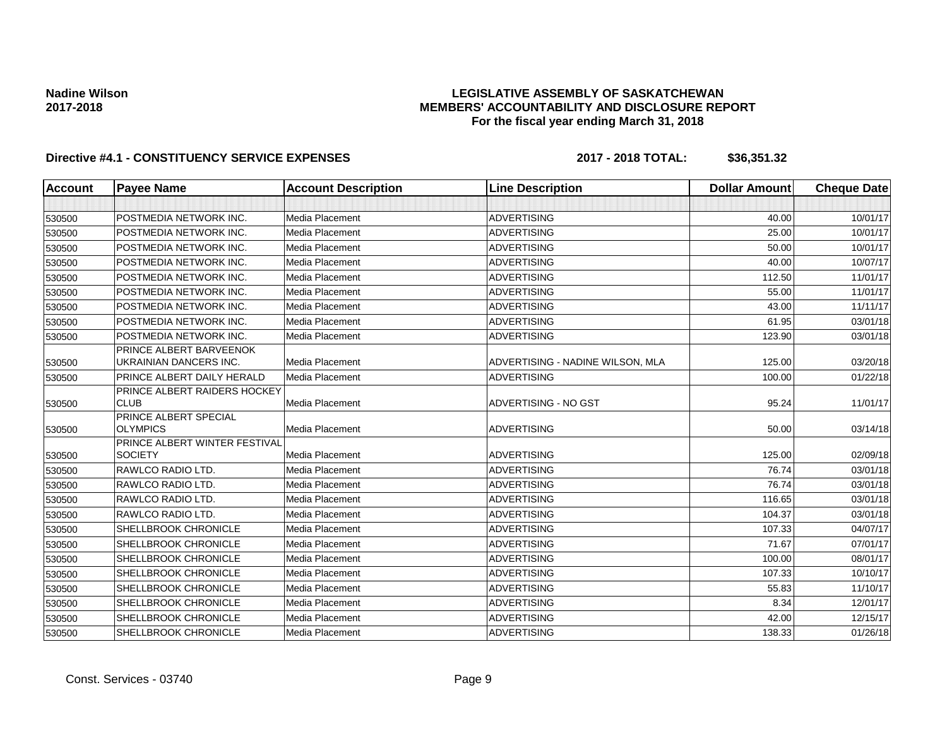### **LEGISLATIVE ASSEMBLY OF SASKATCHEWAN MEMBERS' ACCOUNTABILITY AND DISCLOSURE REPORT For the fiscal year ending March 31, 2018**

| <b>Account</b> | <b>Payee Name</b>                                        | <b>Account Description</b> | <b>Line Description</b>          | <b>Dollar Amount</b> | <b>Cheque Date</b> |
|----------------|----------------------------------------------------------|----------------------------|----------------------------------|----------------------|--------------------|
|                |                                                          |                            |                                  |                      |                    |
| 530500         | POSTMEDIA NETWORK INC.                                   | Media Placement            | <b>ADVERTISING</b>               | 40.00                | 10/01/17           |
| 530500         | POSTMEDIA NETWORK INC.                                   | Media Placement            | <b>ADVERTISING</b>               | 25.00                | 10/01/17           |
| 530500         | POSTMEDIA NETWORK INC.                                   | Media Placement            | <b>ADVERTISING</b>               | 50.00                | 10/01/17           |
| 530500         | POSTMEDIA NETWORK INC.                                   | Media Placement            | <b>ADVERTISING</b>               | 40.00                | 10/07/17           |
| 530500         | POSTMEDIA NETWORK INC.                                   | Media Placement            | <b>ADVERTISING</b>               | 112.50               | 11/01/17           |
| 530500         | POSTMEDIA NETWORK INC.                                   | <b>Media Placement</b>     | <b>ADVERTISING</b>               | 55.00                | 11/01/17           |
| 530500         | POSTMEDIA NETWORK INC.                                   | Media Placement            | <b>ADVERTISING</b>               | 43.00                | 11/11/17           |
| 530500         | POSTMEDIA NETWORK INC.                                   | Media Placement            | <b>ADVERTISING</b>               | 61.95                | 03/01/18           |
| 530500         | POSTMEDIA NETWORK INC.                                   | Media Placement            | <b>ADVERTISING</b>               | 123.90               | 03/01/18           |
| 530500         | PRINCE ALBERT BARVEENOK<br><b>UKRAINIAN DANCERS INC.</b> | Media Placement            | ADVERTISING - NADINE WILSON, MLA | 125.00               | 03/20/18           |
| 530500         | PRINCE ALBERT DAILY HERALD                               | Media Placement            | <b>ADVERTISING</b>               | 100.00               | 01/22/18           |
| 530500         | PRINCE ALBERT RAIDERS HOCKEY<br><b>CLUB</b>              | <b>Media Placement</b>     | ADVERTISING - NO GST             | 95.24                | 11/01/17           |
| 530500         | PRINCE ALBERT SPECIAL<br><b>OLYMPICS</b>                 | Media Placement            | <b>ADVERTISING</b>               | 50.00                | 03/14/18           |
| 530500         | PRINCE ALBERT WINTER FESTIVAL<br><b>SOCIETY</b>          | Media Placement            | <b>ADVERTISING</b>               | 125.00               | 02/09/18           |
| 530500         | RAWLCO RADIO LTD.                                        | Media Placement            | <b>ADVERTISING</b>               | 76.74                | 03/01/18           |
| 530500         | RAWLCO RADIO LTD.                                        | Media Placement            | <b>ADVERTISING</b>               | 76.74                | 03/01/18           |
| 530500         | RAWLCO RADIO LTD.                                        | Media Placement            | <b>ADVERTISING</b>               | 116.65               | 03/01/18           |
| 530500         | RAWLCO RADIO LTD.                                        | Media Placement            | <b>ADVERTISING</b>               | 104.37               | 03/01/18           |
| 530500         | SHELLBROOK CHRONICLE                                     | <b>Media Placement</b>     | <b>ADVERTISING</b>               | 107.33               | 04/07/17           |
| 530500         | SHELLBROOK CHRONICLE                                     | Media Placement            | <b>ADVERTISING</b>               | 71.67                | 07/01/17           |
| 530500         | SHELLBROOK CHRONICLE                                     | Media Placement            | <b>ADVERTISING</b>               | 100.00               | 08/01/17           |
| 530500         | SHELLBROOK CHRONICLE                                     | <b>Media Placement</b>     | <b>ADVERTISING</b>               | 107.33               | 10/10/17           |
| 530500         | SHELLBROOK CHRONICLE                                     | Media Placement            | <b>ADVERTISING</b>               | 55.83                | 11/10/17           |
| 530500         | SHELLBROOK CHRONICLE                                     | <b>Media Placement</b>     | <b>ADVERTISING</b>               | 8.34                 | 12/01/17           |
| 530500         | SHELLBROOK CHRONICLE                                     | Media Placement            | <b>ADVERTISING</b>               | 42.00                | 12/15/17           |
| 530500         | SHELLBROOK CHRONICLE                                     | <b>Media Placement</b>     | <b>ADVERTISING</b>               | 138.33               | 01/26/18           |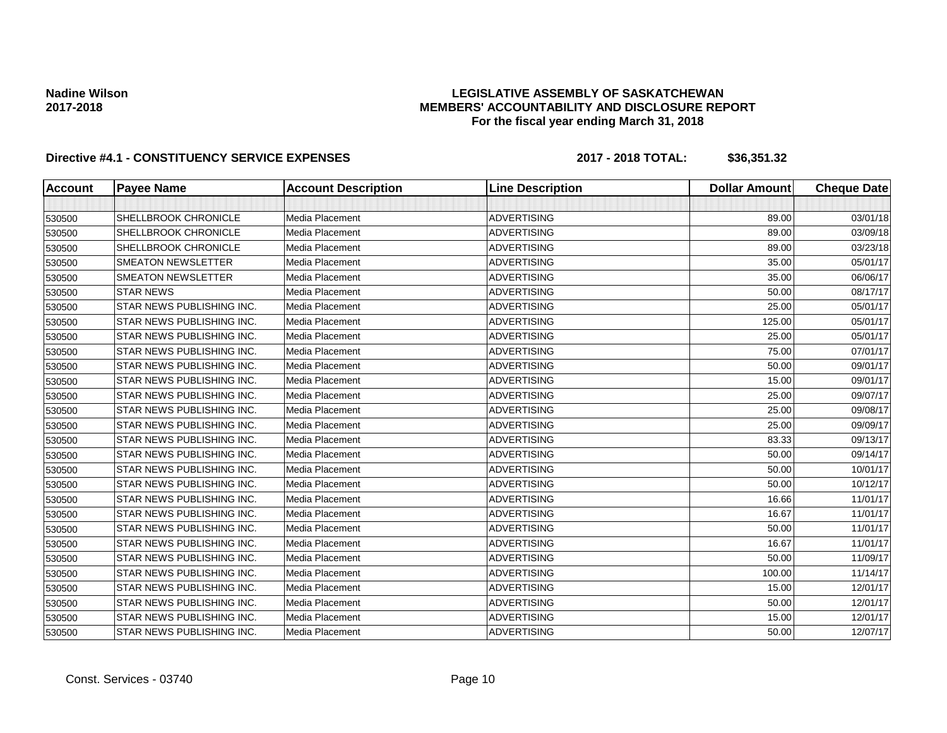### **LEGISLATIVE ASSEMBLY OF SASKATCHEWAN MEMBERS' ACCOUNTABILITY AND DISCLOSURE REPORT For the fiscal year ending March 31, 2018**

| <b>Account</b> | <b>Payee Name</b>         | <b>Account Description</b> | <b>Line Description</b> | <b>Dollar Amount</b> | <b>Cheque Date</b> |
|----------------|---------------------------|----------------------------|-------------------------|----------------------|--------------------|
|                |                           |                            |                         |                      |                    |
| 530500         | SHELLBROOK CHRONICLE      | <b>Media Placement</b>     | <b>ADVERTISING</b>      | 89.00                | 03/01/18           |
| 530500         | SHELLBROOK CHRONICLE      | Media Placement            | <b>ADVERTISING</b>      | 89.00                | 03/09/18           |
| 530500         | SHELLBROOK CHRONICLE      | <b>Media Placement</b>     | <b>ADVERTISING</b>      | 89.00                | 03/23/18           |
| 530500         | <b>SMEATON NEWSLETTER</b> | Media Placement            | <b>ADVERTISING</b>      | 35.00                | 05/01/17           |
| 530500         | <b>SMEATON NEWSLETTER</b> | <b>Media Placement</b>     | <b>ADVERTISING</b>      | 35.00                | 06/06/17           |
| 530500         | <b>STAR NEWS</b>          | Media Placement            | <b>ADVERTISING</b>      | 50.00                | 08/17/17           |
| 530500         | STAR NEWS PUBLISHING INC. | Media Placement            | <b>ADVERTISING</b>      | 25.00                | 05/01/17           |
| 530500         | STAR NEWS PUBLISHING INC. | Media Placement            | <b>ADVERTISING</b>      | 125.00               | 05/01/17           |
| 530500         | STAR NEWS PUBLISHING INC. | Media Placement            | <b>ADVERTISING</b>      | 25.00                | 05/01/17           |
| 530500         | STAR NEWS PUBLISHING INC. | Media Placement            | <b>ADVERTISING</b>      | 75.00                | 07/01/17           |
| 530500         | STAR NEWS PUBLISHING INC. | Media Placement            | <b>ADVERTISING</b>      | 50.00                | 09/01/17           |
| 530500         | STAR NEWS PUBLISHING INC. | Media Placement            | <b>ADVERTISING</b>      | 15.00                | 09/01/17           |
| 530500         | STAR NEWS PUBLISHING INC. | Media Placement            | <b>ADVERTISING</b>      | 25.00                | 09/07/17           |
| 530500         | STAR NEWS PUBLISHING INC. | <b>Media Placement</b>     | <b>ADVERTISING</b>      | 25.00                | 09/08/17           |
| 530500         | STAR NEWS PUBLISHING INC. | Media Placement            | <b>ADVERTISING</b>      | 25.00                | 09/09/17           |
| 530500         | STAR NEWS PUBLISHING INC. | Media Placement            | <b>ADVERTISING</b>      | 83.33                | 09/13/17           |
| 530500         | STAR NEWS PUBLISHING INC. | Media Placement            | <b>ADVERTISING</b>      | 50.00                | 09/14/17           |
| 530500         | STAR NEWS PUBLISHING INC. | Media Placement            | <b>ADVERTISING</b>      | 50.00                | 10/01/17           |
| 530500         | STAR NEWS PUBLISHING INC. | Media Placement            | <b>ADVERTISING</b>      | 50.00                | 10/12/17           |
| 530500         | STAR NEWS PUBLISHING INC. | Media Placement            | <b>ADVERTISING</b>      | 16.66                | 11/01/17           |
| 530500         | STAR NEWS PUBLISHING INC. | <b>Media Placement</b>     | <b>ADVERTISING</b>      | 16.67                | 11/01/17           |
| 530500         | STAR NEWS PUBLISHING INC. | Media Placement            | <b>ADVERTISING</b>      | 50.00                | 11/01/17           |
| 530500         | STAR NEWS PUBLISHING INC. | Media Placement            | <b>ADVERTISING</b>      | 16.67                | 11/01/17           |
| 530500         | STAR NEWS PUBLISHING INC. | Media Placement            | <b>ADVERTISING</b>      | 50.00                | 11/09/17           |
| 530500         | STAR NEWS PUBLISHING INC. | Media Placement            | <b>ADVERTISING</b>      | 100.00               | 11/14/17           |
| 530500         | STAR NEWS PUBLISHING INC. | Media Placement            | <b>ADVERTISING</b>      | 15.00                | 12/01/17           |
| 530500         | STAR NEWS PUBLISHING INC. | Media Placement            | <b>ADVERTISING</b>      | 50.00                | 12/01/17           |
| 530500         | STAR NEWS PUBLISHING INC. | Media Placement            | <b>ADVERTISING</b>      | 15.00                | 12/01/17           |
| 530500         | STAR NEWS PUBLISHING INC. | Media Placement            | <b>ADVERTISING</b>      | 50.00                | 12/07/17           |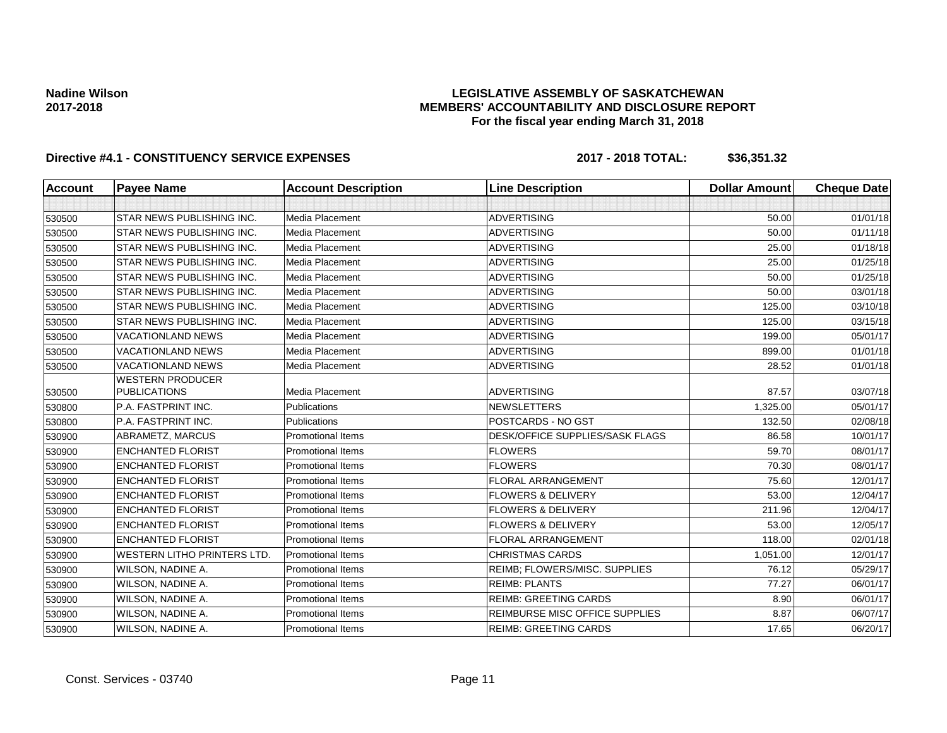### **LEGISLATIVE ASSEMBLY OF SASKATCHEWAN MEMBERS' ACCOUNTABILITY AND DISCLOSURE REPORT For the fiscal year ending March 31, 2018**

| <b>Account</b> | <b>Payee Name</b>                              | <b>Account Description</b> | <b>Line Description</b>                | <b>Dollar Amount</b> | <b>Cheque Date</b> |
|----------------|------------------------------------------------|----------------------------|----------------------------------------|----------------------|--------------------|
|                |                                                |                            |                                        |                      |                    |
| 530500         | STAR NEWS PUBLISHING INC.                      | Media Placement            | <b>ADVERTISING</b>                     | 50.00                | 01/01/18           |
| 530500         | STAR NEWS PUBLISHING INC.                      | Media Placement            | <b>ADVERTISING</b>                     | 50.00                | 01/11/18           |
| 530500         | STAR NEWS PUBLISHING INC.                      | <b>Media Placement</b>     | <b>ADVERTISING</b>                     | 25.00                | 01/18/18           |
| 530500         | STAR NEWS PUBLISHING INC.                      | Media Placement            | <b>ADVERTISING</b>                     | 25.00                | 01/25/18           |
| 530500         | STAR NEWS PUBLISHING INC.                      | Media Placement            | <b>ADVERTISING</b>                     | 50.00                | 01/25/18           |
| 530500         | STAR NEWS PUBLISHING INC.                      | Media Placement            | <b>ADVERTISING</b>                     | 50.00                | 03/01/18           |
| 530500         | STAR NEWS PUBLISHING INC.                      | Media Placement            | <b>ADVERTISING</b>                     | 125.00               | 03/10/18           |
| 530500         | STAR NEWS PUBLISHING INC.                      | Media Placement            | <b>ADVERTISING</b>                     | 125.00               | 03/15/18           |
| 530500         | <b>VACATIONLAND NEWS</b>                       | Media Placement            | <b>ADVERTISING</b>                     | 199.00               | 05/01/17           |
| 530500         | <b>VACATIONLAND NEWS</b>                       | Media Placement            | <b>ADVERTISING</b>                     | 899.00               | 01/01/18           |
| 530500         | <b>VACATIONLAND NEWS</b>                       | Media Placement            | <b>ADVERTISING</b>                     | 28.52                | 01/01/18           |
| 530500         | <b>WESTERN PRODUCER</b><br><b>PUBLICATIONS</b> | Media Placement            | <b>ADVERTISING</b>                     | 87.57                | 03/07/18           |
| 530800         | P.A. FASTPRINT INC.                            | Publications               | <b>NEWSLETTERS</b>                     | 1,325.00             | 05/01/17           |
| 530800         | P.A. FASTPRINT INC.                            | Publications               | POSTCARDS - NO GST                     | 132.50               | 02/08/18           |
| 530900         | ABRAMETZ, MARCUS                               | <b>Promotional Items</b>   | <b>DESK/OFFICE SUPPLIES/SASK FLAGS</b> | 86.58                | 10/01/17           |
| 530900         | <b>ENCHANTED FLORIST</b>                       | <b>Promotional Items</b>   | <b>FLOWERS</b>                         | 59.70                | 08/01/17           |
| 530900         | <b>ENCHANTED FLORIST</b>                       | <b>Promotional Items</b>   | <b>FLOWERS</b>                         | 70.30                | 08/01/17           |
| 530900         | <b>ENCHANTED FLORIST</b>                       | <b>Promotional Items</b>   | <b>FLORAL ARRANGEMENT</b>              | 75.60                | 12/01/17           |
| 530900         | <b>ENCHANTED FLORIST</b>                       | <b>Promotional Items</b>   | <b>FLOWERS &amp; DELIVERY</b>          | 53.00                | 12/04/17           |
| 530900         | <b>ENCHANTED FLORIST</b>                       | <b>Promotional Items</b>   | <b>FLOWERS &amp; DELIVERY</b>          | 211.96               | 12/04/17           |
| 530900         | <b>ENCHANTED FLORIST</b>                       | <b>Promotional Items</b>   | <b>FLOWERS &amp; DELIVERY</b>          | 53.00                | 12/05/17           |
| 530900         | <b>ENCHANTED FLORIST</b>                       | <b>Promotional Items</b>   | <b>FLORAL ARRANGEMENT</b>              | 118.00               | 02/01/18           |
| 530900         | <b>WESTERN LITHO PRINTERS LTD.</b>             | <b>Promotional Items</b>   | <b>CHRISTMAS CARDS</b>                 | 1,051.00             | 12/01/17           |
| 530900         | WILSON, NADINE A.                              | <b>Promotional Items</b>   | REIMB; FLOWERS/MISC. SUPPLIES          | 76.12                | 05/29/17           |
| 530900         | WILSON, NADINE A.                              | <b>Promotional Items</b>   | <b>REIMB: PLANTS</b>                   | 77.27                | 06/01/17           |
| 530900         | WILSON, NADINE A.                              | <b>Promotional Items</b>   | <b>REIMB: GREETING CARDS</b>           | 8.90                 | 06/01/17           |
| 530900         | WILSON, NADINE A.                              | <b>Promotional Items</b>   | REIMBURSE MISC OFFICE SUPPLIES         | 8.87                 | 06/07/17           |
| 530900         | WILSON, NADINE A.                              | <b>Promotional Items</b>   | <b>REIMB: GREETING CARDS</b>           | 17.65                | 06/20/17           |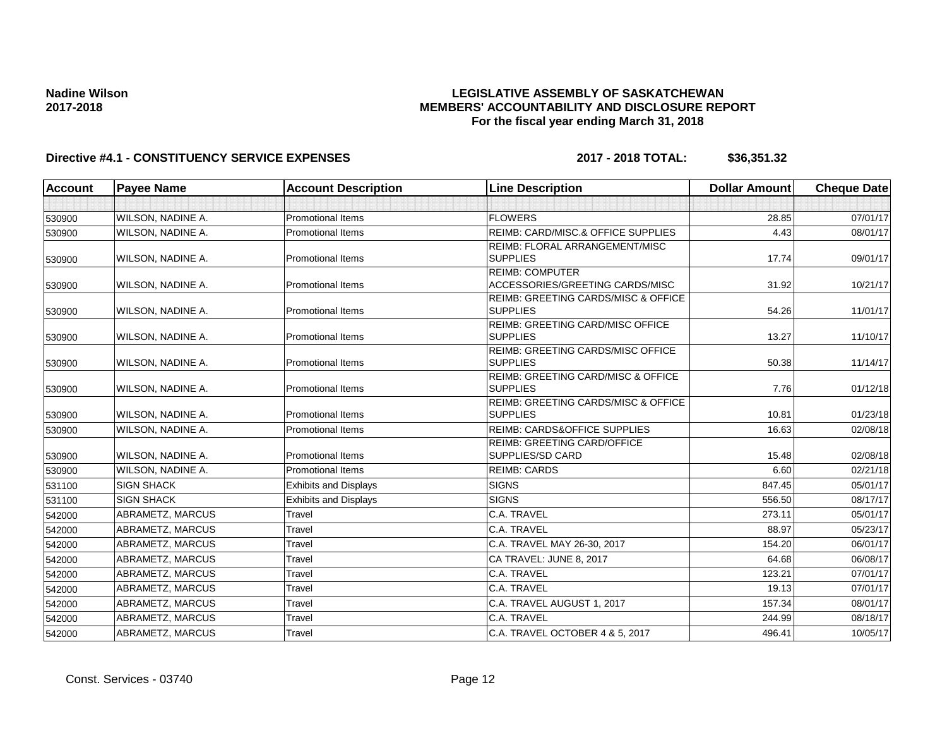### **LEGISLATIVE ASSEMBLY OF SASKATCHEWAN MEMBERS' ACCOUNTABILITY AND DISCLOSURE REPORT For the fiscal year ending March 31, 2018**

| <b>Account</b> | <b>Payee Name</b>        | <b>Account Description</b>   | <b>Line Description</b>                                          | <b>Dollar Amount</b> | <b>Cheque Date</b> |
|----------------|--------------------------|------------------------------|------------------------------------------------------------------|----------------------|--------------------|
|                |                          |                              |                                                                  |                      |                    |
| 530900         | WILSON, NADINE A.        | <b>Promotional Items</b>     | <b>FLOWERS</b>                                                   | 28.85                | 07/01/17           |
| 530900         | WILSON, NADINE A.        | <b>Promotional Items</b>     | REIMB: CARD/MISC.& OFFICE SUPPLIES                               | 4.43                 | 08/01/17           |
|                |                          |                              | REIMB: FLORAL ARRANGEMENT/MISC                                   |                      |                    |
| 530900         | <b>WILSON, NADINE A.</b> | <b>Promotional Items</b>     | <b>SUPPLIES</b>                                                  | 17.74                | 09/01/17           |
| 530900         | <b>WILSON, NADINE A.</b> | <b>Promotional Items</b>     | <b>REIMB: COMPUTER</b><br>ACCESSORIES/GREETING CARDS/MISC        | 31.92                | 10/21/17           |
|                |                          |                              | <b>REIMB: GREETING CARDS/MISC &amp; OFFICE</b>                   |                      |                    |
| 530900         | <b>WILSON, NADINE A.</b> | <b>Promotional Items</b>     | <b>SUPPLIES</b>                                                  | 54.26                | 11/01/17           |
| 530900         | <b>WILSON, NADINE A.</b> | <b>Promotional Items</b>     | REIMB: GREETING CARD/MISC OFFICE<br><b>SUPPLIES</b>              | 13.27                | 11/10/17           |
| 530900         | WILSON, NADINE A.        | <b>Promotional Items</b>     | REIMB: GREETING CARDS/MISC OFFICE<br><b>SUPPLIES</b>             | 50.38                | 11/14/17           |
| 530900         | <b>WILSON, NADINE A.</b> | <b>Promotional Items</b>     | <b>REIMB: GREETING CARD/MISC &amp; OFFICE</b><br><b>SUPPLIES</b> | 7.76                 | 01/12/18           |
|                |                          |                              | <b>REIMB: GREETING CARDS/MISC &amp; OFFICE</b>                   |                      |                    |
| 530900         | <b>WILSON, NADINE A.</b> | <b>Promotional Items</b>     | <b>SUPPLIES</b>                                                  | 10.81                | 01/23/18           |
| 530900         | WILSON, NADINE A.        | <b>Promotional Items</b>     | <b>REIMB: CARDS&amp;OFFICE SUPPLIES</b>                          | 16.63                | 02/08/18           |
| 530900         | <b>WILSON, NADINE A.</b> | <b>Promotional Items</b>     | <b>REIMB: GREETING CARD/OFFICE</b><br>SUPPLIES/SD CARD           | 15.48                | 02/08/18           |
| 530900         | <b>WILSON, NADINE A.</b> | <b>Promotional Items</b>     | <b>REIMB: CARDS</b>                                              | 6.60                 | 02/21/18           |
| 531100         | <b>SIGN SHACK</b>        | <b>Exhibits and Displays</b> | <b>SIGNS</b>                                                     | 847.45               | 05/01/17           |
| 531100         | <b>SIGN SHACK</b>        | <b>Exhibits and Displays</b> | <b>SIGNS</b>                                                     | 556.50               | 08/17/17           |
| 542000         | <b>ABRAMETZ, MARCUS</b>  | Travel                       | C.A. TRAVEL                                                      | 273.11               | 05/01/17           |
| 542000         | <b>ABRAMETZ, MARCUS</b>  | Travel                       | C.A. TRAVEL                                                      | 88.97                | 05/23/17           |
| 542000         | ABRAMETZ, MARCUS         | Travel                       | C.A. TRAVEL MAY 26-30, 2017                                      | 154.20               | 06/01/17           |
| 542000         | ABRAMETZ, MARCUS         | Travel                       | CA TRAVEL: JUNE 8, 2017                                          | 64.68                | 06/08/17           |
| 542000         | <b>ABRAMETZ, MARCUS</b>  | Travel                       | C.A. TRAVEL                                                      | 123.21               | 07/01/17           |
| 542000         | ABRAMETZ, MARCUS         | Travel                       | C.A. TRAVEL                                                      | 19.13                | 07/01/17           |
| 542000         | ABRAMETZ, MARCUS         | Travel                       | C.A. TRAVEL AUGUST 1, 2017                                       | 157.34               | 08/01/17           |
| 542000         | ABRAMETZ, MARCUS         | Travel                       | C.A. TRAVEL                                                      | 244.99               | 08/18/17           |
| 542000         | <b>ABRAMETZ, MARCUS</b>  | Travel                       | C.A. TRAVEL OCTOBER 4 & 5, 2017                                  | 496.41               | 10/05/17           |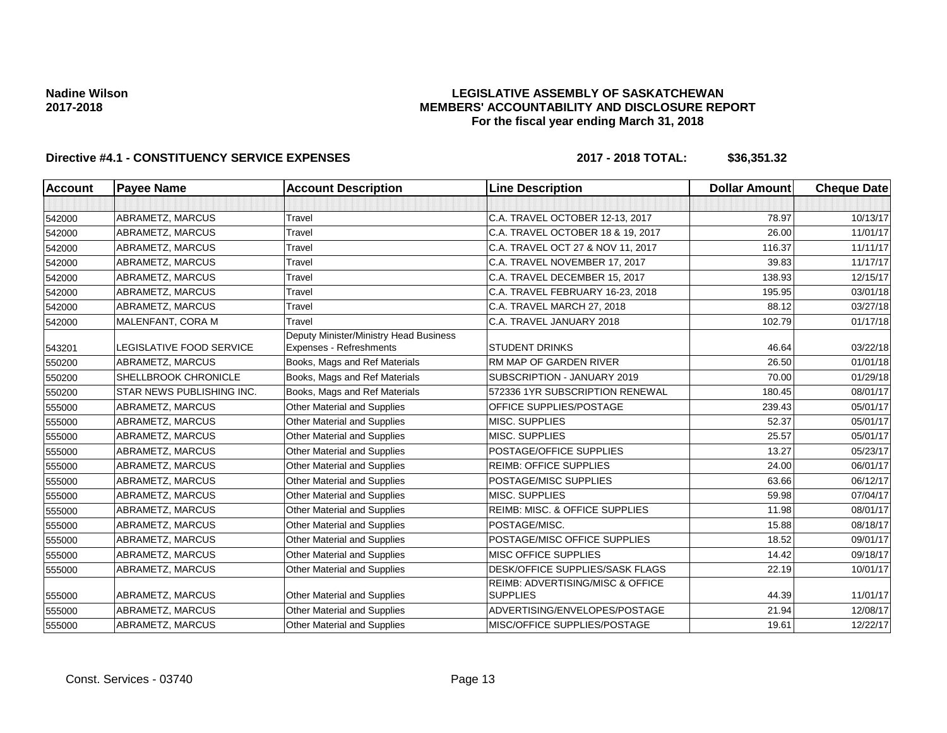### **LEGISLATIVE ASSEMBLY OF SASKATCHEWAN MEMBERS' ACCOUNTABILITY AND DISCLOSURE REPORT For the fiscal year ending March 31, 2018**

| Account | <b>Payee Name</b>               | <b>Account Description</b>                                        | <b>Line Description</b>                             | <b>Dollar Amount</b> | <b>Cheque Date</b> |
|---------|---------------------------------|-------------------------------------------------------------------|-----------------------------------------------------|----------------------|--------------------|
|         |                                 |                                                                   |                                                     |                      |                    |
| 542000  | ABRAMETZ, MARCUS                | Travel                                                            | C.A. TRAVEL OCTOBER 12-13, 2017                     | 78.97                | 10/13/17           |
| 542000  | ABRAMETZ, MARCUS                | Travel                                                            | C.A. TRAVEL OCTOBER 18 & 19, 2017                   | 26.00                | 11/01/17           |
| 542000  | ABRAMETZ, MARCUS                | Travel                                                            | C.A. TRAVEL OCT 27 & NOV 11, 2017                   | 116.37               | 11/11/17           |
| 542000  | ABRAMETZ, MARCUS                | Travel                                                            | C.A. TRAVEL NOVEMBER 17, 2017                       | 39.83                | 11/17/17           |
| 542000  | ABRAMETZ, MARCUS                | Travel                                                            | C.A. TRAVEL DECEMBER 15, 2017                       | 138.93               | 12/15/17           |
| 542000  | ABRAMETZ, MARCUS                | Travel                                                            | C.A. TRAVEL FEBRUARY 16-23, 2018                    | 195.95               | 03/01/18           |
| 542000  | ABRAMETZ, MARCUS                | Travel                                                            | C.A. TRAVEL MARCH 27, 2018                          | 88.12                | 03/27/18           |
| 542000  | MALENFANT, CORA M               | Travel                                                            | C.A. TRAVEL JANUARY 2018                            | 102.79               | 01/17/18           |
| 543201  | <b>LEGISLATIVE FOOD SERVICE</b> | Deputy Minister/Ministry Head Business<br>Expenses - Refreshments | <b>STUDENT DRINKS</b>                               | 46.64                | 03/22/18           |
| 550200  | ABRAMETZ, MARCUS                | Books, Mags and Ref Materials                                     | RM MAP OF GARDEN RIVER                              | 26.50                | 01/01/18           |
| 550200  | SHELLBROOK CHRONICLE            | Books, Mags and Ref Materials                                     | SUBSCRIPTION - JANUARY 2019                         | 70.00                | 01/29/18           |
| 550200  | STAR NEWS PUBLISHING INC.       | Books, Mags and Ref Materials                                     | 572336 1YR SUBSCRIPTION RENEWAL                     | 180.45               | 08/01/17           |
| 555000  | ABRAMETZ, MARCUS                | Other Material and Supplies                                       | OFFICE SUPPLIES/POSTAGE                             | 239.43               | 05/01/17           |
| 555000  | ABRAMETZ, MARCUS                | Other Material and Supplies                                       | MISC. SUPPLIES                                      | 52.37                | 05/01/17           |
| 555000  | ABRAMETZ, MARCUS                | Other Material and Supplies                                       | MISC. SUPPLIES                                      | 25.57                | 05/01/17           |
| 555000  | ABRAMETZ, MARCUS                | <b>Other Material and Supplies</b>                                | POSTAGE/OFFICE SUPPLIES                             | 13.27                | 05/23/17           |
| 555000  | ABRAMETZ, MARCUS                | Other Material and Supplies                                       | <b>REIMB: OFFICE SUPPLIES</b>                       | 24.00                | 06/01/17           |
| 555000  | ABRAMETZ, MARCUS                | Other Material and Supplies                                       | POSTAGE/MISC SUPPLIES                               | 63.66                | 06/12/17           |
| 555000  | ABRAMETZ, MARCUS                | <b>Other Material and Supplies</b>                                | MISC. SUPPLIES                                      | 59.98                | 07/04/17           |
| 555000  | ABRAMETZ, MARCUS                | Other Material and Supplies                                       | REIMB: MISC. & OFFICE SUPPLIES                      | 11.98                | 08/01/17           |
| 555000  | ABRAMETZ, MARCUS                | Other Material and Supplies                                       | POSTAGE/MISC.                                       | 15.88                | 08/18/17           |
| 555000  | ABRAMETZ, MARCUS                | Other Material and Supplies                                       | POSTAGE/MISC OFFICE SUPPLIES                        | 18.52                | 09/01/17           |
| 555000  | ABRAMETZ, MARCUS                | Other Material and Supplies                                       | <b>MISC OFFICE SUPPLIES</b>                         | 14.42                | 09/18/17           |
| 555000  | ABRAMETZ, MARCUS                | Other Material and Supplies                                       | DESK/OFFICE SUPPLIES/SASK FLAGS                     | 22.19                | 10/01/17           |
| 555000  | ABRAMETZ, MARCUS                | Other Material and Supplies                                       | REIMB: ADVERTISING/MISC & OFFICE<br><b>SUPPLIES</b> | 44.39                | 11/01/17           |
| 555000  | ABRAMETZ, MARCUS                | Other Material and Supplies                                       | ADVERTISING/ENVELOPES/POSTAGE                       | 21.94                | 12/08/17           |
| 555000  | ABRAMETZ, MARCUS                | Other Material and Supplies                                       | MISC/OFFICE SUPPLIES/POSTAGE                        | 19.61                | 12/22/17           |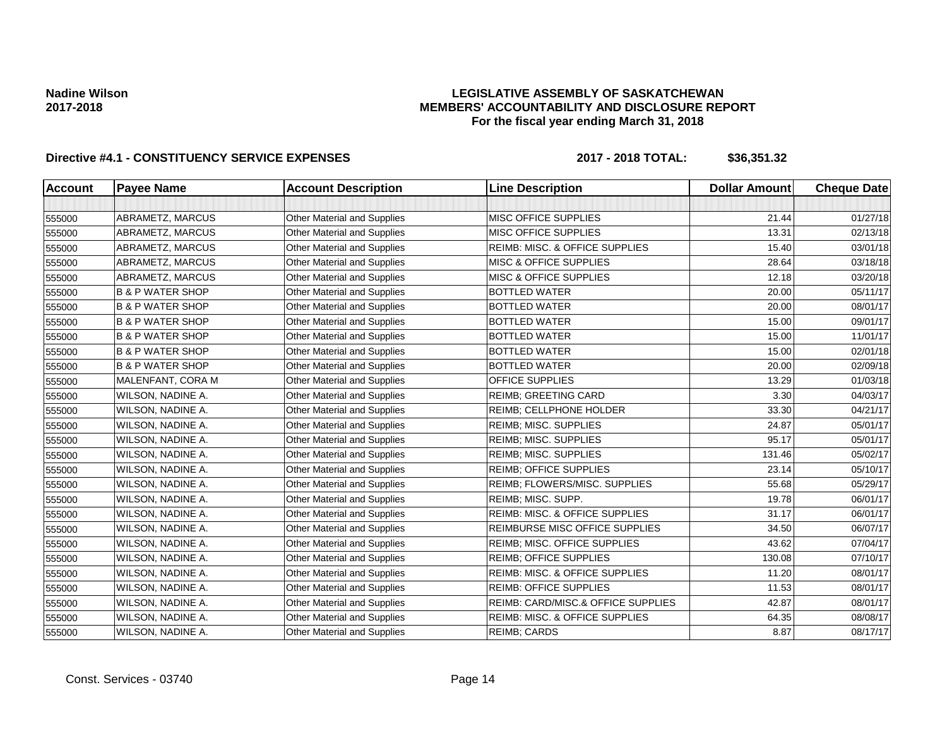### **LEGISLATIVE ASSEMBLY OF SASKATCHEWAN MEMBERS' ACCOUNTABILITY AND DISCLOSURE REPORT For the fiscal year ending March 31, 2018**

| <b>Account</b> | <b>Payee Name</b>           | <b>Account Description</b>         | <b>Line Description</b>                   | <b>Dollar Amount</b> | <b>Cheque Date</b> |
|----------------|-----------------------------|------------------------------------|-------------------------------------------|----------------------|--------------------|
|                |                             |                                    |                                           |                      |                    |
| 555000         | ABRAMETZ, MARCUS            | Other Material and Supplies        | MISC OFFICE SUPPLIES                      | 21.44                | 01/27/18           |
| 555000         | ABRAMETZ, MARCUS            | Other Material and Supplies        | MISC OFFICE SUPPLIES                      | 13.31                | 02/13/18           |
| 555000         | ABRAMETZ, MARCUS            | Other Material and Supplies        | REIMB: MISC. & OFFICE SUPPLIES            | 15.40                | 03/01/18           |
| 555000         | ABRAMETZ, MARCUS            | Other Material and Supplies        | <b>MISC &amp; OFFICE SUPPLIES</b>         | 28.64                | 03/18/18           |
| 555000         | ABRAMETZ, MARCUS            | Other Material and Supplies        | <b>MISC &amp; OFFICE SUPPLIES</b>         | 12.18                | 03/20/18           |
| 555000         | <b>B &amp; P WATER SHOP</b> | Other Material and Supplies        | <b>BOTTLED WATER</b>                      | 20.00                | 05/11/17           |
| 555000         | <b>B &amp; P WATER SHOP</b> | Other Material and Supplies        | <b>BOTTLED WATER</b>                      | 20.00                | 08/01/17           |
| 555000         | <b>B &amp; P WATER SHOP</b> | Other Material and Supplies        | <b>BOTTLED WATER</b>                      | 15.00                | 09/01/17           |
| 555000         | <b>B &amp; P WATER SHOP</b> | Other Material and Supplies        | <b>BOTTLED WATER</b>                      | 15.00                | 11/01/17           |
| 555000         | <b>B &amp; P WATER SHOP</b> | Other Material and Supplies        | <b>BOTTLED WATER</b>                      | 15.00                | 02/01/18           |
| 555000         | <b>B &amp; P WATER SHOP</b> | Other Material and Supplies        | <b>BOTTLED WATER</b>                      | 20.00                | 02/09/18           |
| 555000         | MALENFANT, CORA M           | <b>Other Material and Supplies</b> | <b>OFFICE SUPPLIES</b>                    | 13.29                | 01/03/18           |
| 555000         | WILSON, NADINE A.           | Other Material and Supplies        | <b>REIMB: GREETING CARD</b>               | 3.30                 | 04/03/17           |
| 555000         | WILSON, NADINE A.           | Other Material and Supplies        | <b>REIMB: CELLPHONE HOLDER</b>            | 33.30                | 04/21/17           |
| 555000         | WILSON, NADINE A.           | Other Material and Supplies        | <b>REIMB; MISC. SUPPLIES</b>              | 24.87                | 05/01/17           |
| 555000         | WILSON, NADINE A.           | Other Material and Supplies        | <b>REIMB; MISC. SUPPLIES</b>              | 95.17                | 05/01/17           |
| 555000         | WILSON, NADINE A.           | Other Material and Supplies        | <b>REIMB; MISC. SUPPLIES</b>              | 131.46               | 05/02/17           |
| 555000         | WILSON, NADINE A.           | <b>Other Material and Supplies</b> | <b>REIMB: OFFICE SUPPLIES</b>             | 23.14                | 05/10/17           |
| 555000         | WILSON, NADINE A.           | Other Material and Supplies        | REIMB; FLOWERS/MISC. SUPPLIES             | 55.68                | 05/29/17           |
| 555000         | WILSON, NADINE A.           | <b>Other Material and Supplies</b> | REIMB; MISC. SUPP.                        | 19.78                | 06/01/17           |
| 555000         | WILSON, NADINE A.           | Other Material and Supplies        | REIMB: MISC. & OFFICE SUPPLIES            | 31.17                | 06/01/17           |
| 555000         | WILSON, NADINE A.           | Other Material and Supplies        | REIMBURSE MISC OFFICE SUPPLIES            | 34.50                | 06/07/17           |
| 555000         | WILSON, NADINE A.           | Other Material and Supplies        | REIMB; MISC. OFFICE SUPPLIES              | 43.62                | 07/04/17           |
| 555000         | WILSON, NADINE A.           | Other Material and Supplies        | <b>REIMB; OFFICE SUPPLIES</b>             | 130.08               | 07/10/17           |
| 555000         | WILSON, NADINE A.           | Other Material and Supplies        | REIMB: MISC. & OFFICE SUPPLIES            | 11.20                | 08/01/17           |
| 555000         | WILSON, NADINE A.           | Other Material and Supplies        | <b>REIMB: OFFICE SUPPLIES</b>             | 11.53                | 08/01/17           |
| 555000         | WILSON, NADINE A.           | Other Material and Supplies        | REIMB: CARD/MISC.& OFFICE SUPPLIES        | 42.87                | 08/01/17           |
| 555000         | WILSON, NADINE A.           | Other Material and Supplies        | <b>REIMB: MISC. &amp; OFFICE SUPPLIES</b> | 64.35                | 08/08/17           |
| 555000         | WILSON, NADINE A.           | Other Material and Supplies        | <b>REIMB; CARDS</b>                       | 8.87                 | 08/17/17           |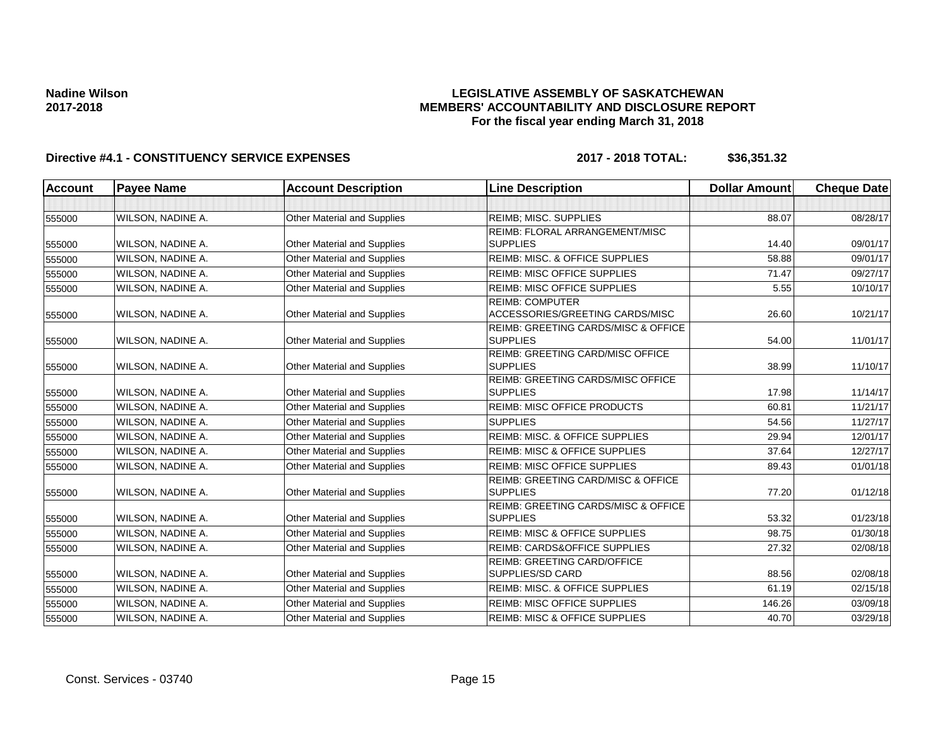### **LEGISLATIVE ASSEMBLY OF SASKATCHEWAN MEMBERS' ACCOUNTABILITY AND DISCLOSURE REPORT For the fiscal year ending March 31, 2018**

| <b>Account</b> | <b>Payee Name</b> | <b>Account Description</b>         | <b>Line Description</b>                                           | <b>Dollar Amount</b> | <b>Cheque Date</b> |
|----------------|-------------------|------------------------------------|-------------------------------------------------------------------|----------------------|--------------------|
|                |                   |                                    |                                                                   |                      |                    |
| 555000         | WILSON, NADINE A. | Other Material and Supplies        | <b>REIMB; MISC. SUPPLIES</b>                                      | 88.07                | 08/28/17           |
|                |                   |                                    | REIMB: FLORAL ARRANGEMENT/MISC                                    |                      |                    |
| 555000         | WILSON, NADINE A. | Other Material and Supplies        | <b>SUPPLIES</b>                                                   | 14.40                | 09/01/17           |
| 555000         | WILSON, NADINE A. | Other Material and Supplies        | REIMB: MISC. & OFFICE SUPPLIES                                    | 58.88                | 09/01/17           |
| 555000         | WILSON, NADINE A. | <b>Other Material and Supplies</b> | <b>REIMB: MISC OFFICE SUPPLIES</b>                                | 71.47                | 09/27/17           |
| 555000         | WILSON, NADINE A. | Other Material and Supplies        | <b>REIMB: MISC OFFICE SUPPLIES</b>                                | 5.55                 | 10/10/17           |
| 555000         | WILSON, NADINE A. | Other Material and Supplies        | <b>REIMB: COMPUTER</b><br>ACCESSORIES/GREETING CARDS/MISC         | 26.60                | 10/21/17           |
| 555000         | WILSON, NADINE A. | Other Material and Supplies        | <b>REIMB: GREETING CARDS/MISC &amp; OFFICE</b><br><b>SUPPLIES</b> | 54.00                | 11/01/17           |
| 555000         | WILSON, NADINE A. | Other Material and Supplies        | REIMB: GREETING CARD/MISC OFFICE<br><b>SUPPLIES</b>               | 38.99                | 11/10/17           |
| 555000         | WILSON, NADINE A. | Other Material and Supplies        | REIMB: GREETING CARDS/MISC OFFICE<br><b>SUPPLIES</b>              | 17.98                | 11/14/17           |
| 555000         | WILSON, NADINE A. | Other Material and Supplies        | <b>REIMB: MISC OFFICE PRODUCTS</b>                                | 60.81                | 11/21/17           |
| 555000         | WILSON, NADINE A. | Other Material and Supplies        | <b>SUPPLIES</b>                                                   | 54.56                | 11/27/17           |
| 555000         | WILSON, NADINE A. | <b>Other Material and Supplies</b> | REIMB: MISC. & OFFICE SUPPLIES                                    | 29.94                | 12/01/17           |
| 555000         | WILSON, NADINE A. | Other Material and Supplies        | <b>REIMB: MISC &amp; OFFICE SUPPLIES</b>                          | 37.64                | 12/27/17           |
| 555000         | WILSON, NADINE A. | Other Material and Supplies        | <b>REIMB: MISC OFFICE SUPPLIES</b>                                | 89.43                | 01/01/18           |
| 555000         | WILSON, NADINE A. | Other Material and Supplies        | REIMB: GREETING CARD/MISC & OFFICE<br><b>SUPPLIES</b>             | 77.20                | 01/12/18           |
| 555000         | WILSON, NADINE A. | Other Material and Supplies        | REIMB: GREETING CARDS/MISC & OFFICE<br><b>SUPPLIES</b>            | 53.32                | 01/23/18           |
| 555000         | WILSON, NADINE A. | Other Material and Supplies        | <b>REIMB: MISC &amp; OFFICE SUPPLIES</b>                          | 98.75                | 01/30/18           |
| 555000         | WILSON, NADINE A. | Other Material and Supplies        | REIMB: CARDS&OFFICE SUPPLIES                                      | 27.32                | 02/08/18           |
| 555000         | WILSON, NADINE A. | <b>Other Material and Supplies</b> | REIMB: GREETING CARD/OFFICE<br>SUPPLIES/SD CARD                   | 88.56                | 02/08/18           |
| 555000         | WILSON, NADINE A. | Other Material and Supplies        | REIMB: MISC. & OFFICE SUPPLIES                                    | 61.19                | 02/15/18           |
| 555000         | WILSON, NADINE A. | Other Material and Supplies        | <b>REIMB: MISC OFFICE SUPPLIES</b>                                | 146.26               | 03/09/18           |
| 555000         | WILSON, NADINE A. | <b>Other Material and Supplies</b> | <b>REIMB: MISC &amp; OFFICE SUPPLIES</b>                          | 40.70                | 03/29/18           |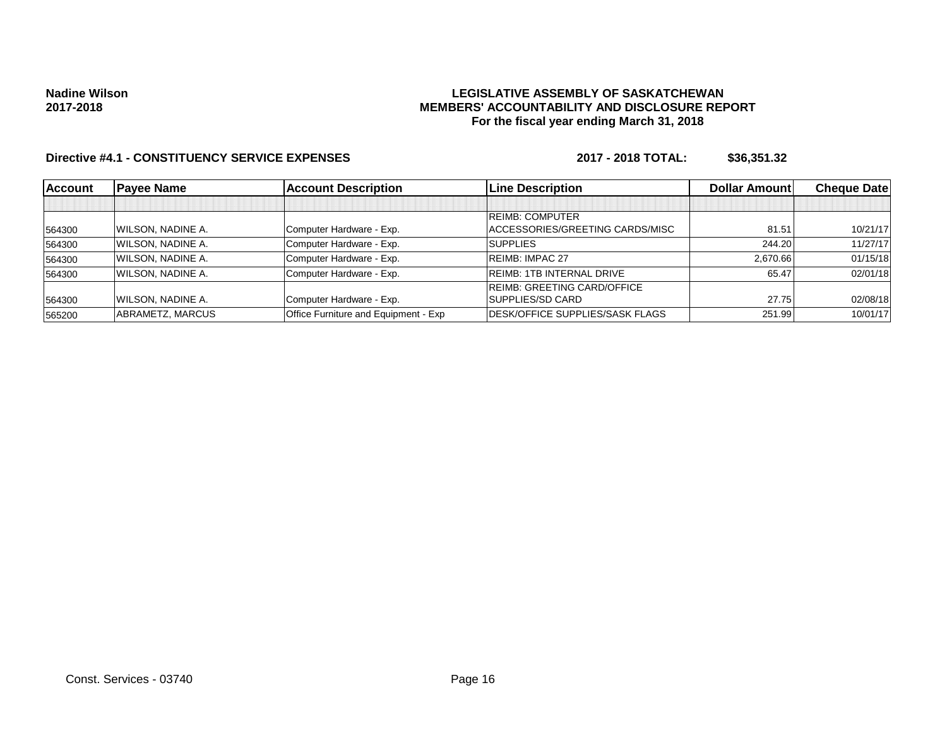### **LEGISLATIVE ASSEMBLY OF SASKATCHEWAN MEMBERS' ACCOUNTABILITY AND DISCLOSURE REPORT For the fiscal year ending March 31, 2018**

| <b>Account</b> | <b>Payee Name</b>        | <b>Account Description</b>           | <b>Line Description</b>                 | Dollar Amount | <b>Cheque Datel</b> |
|----------------|--------------------------|--------------------------------------|-----------------------------------------|---------------|---------------------|
|                |                          |                                      |                                         |               |                     |
|                |                          |                                      | <b>REIMB: COMPUTER</b>                  |               |                     |
| 564300         | WILSON, NADINE A.        | Computer Hardware - Exp.             | ACCESSORIES/GREETING CARDS/MISC         | 81.51         | 10/21/17            |
| 564300         | <b>WILSON, NADINE A.</b> | Computer Hardware - Exp.             | <b>SUPPLIES</b>                         | 244.20        | 11/27/17            |
| 564300         | <b>WILSON, NADINE A.</b> | Computer Hardware - Exp.             | <b>REIMB: IMPAC 27</b>                  | 2,670.66      | 01/15/18            |
| 564300         | <b>WILSON, NADINE A.</b> | Computer Hardware - Exp.             | <b>REIMB: 1TB INTERNAL DRIVE</b>        | 65.47         | 02/01/18            |
|                |                          |                                      | <b>REIMB: GREETING CARD/OFFICE</b>      |               |                     |
| 564300         | WILSON, NADINE A.        | Computer Hardware - Exp.             | SUPPLIES/SD CARD                        | 27.75         | 02/08/18            |
| 565200         | ABRAMETZ, MARCUS         | Office Furniture and Equipment - Exp | <b>IDESK/OFFICE SUPPLIES/SASK FLAGS</b> | 251.99        | 10/01/17            |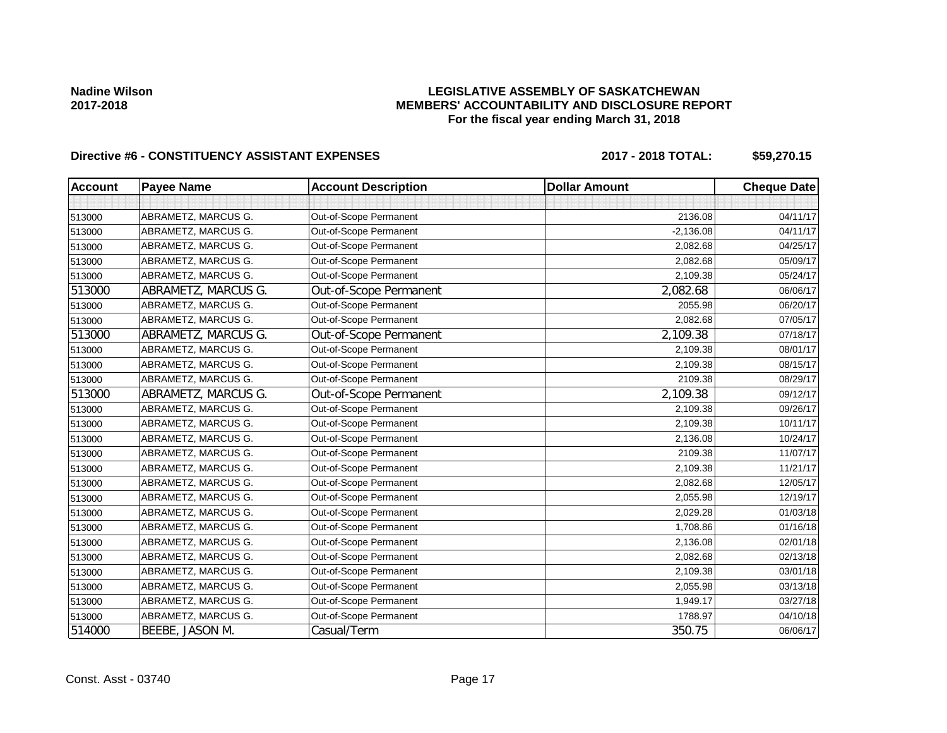### **LEGISLATIVE ASSEMBLY OF SASKATCHEWAN MEMBERS' ACCOUNTABILITY AND DISCLOSURE REPORT For the fiscal year ending March 31, 2018**

# Directive #6 - CONSTITUENCY ASSISTANT EXPENSES 2017 - 2018 TOTAL: \$59,270.15

| <b>Account</b> | <b>Payee Name</b>   | <b>Account Description</b> | <b>Dollar Amount</b> | <b>Cheque Date</b> |
|----------------|---------------------|----------------------------|----------------------|--------------------|
|                |                     |                            |                      |                    |
| 513000         | ABRAMETZ, MARCUS G. | Out-of-Scope Permanent     | 2136.08              | 04/11/17           |
| 513000         | ABRAMETZ, MARCUS G. | Out-of-Scope Permanent     | $-2,136.08$          | 04/11/17           |
| 513000         | ABRAMETZ, MARCUS G. | Out-of-Scope Permanent     | 2,082.68             | 04/25/17           |
| 513000         | ABRAMETZ, MARCUS G. | Out-of-Scope Permanent     | 2,082.68             | 05/09/17           |
| 513000         | ABRAMETZ, MARCUS G. | Out-of-Scope Permanent     | 2,109.38             | 05/24/17           |
| 513000         | ABRAMETZ, MARCUS G. | Out-of-Scope Permanent     | 2,082.68             | 06/06/17           |
| 513000         | ABRAMETZ, MARCUS G. | Out-of-Scope Permanent     | 2055.98              | 06/20/17           |
| 513000         | ABRAMETZ, MARCUS G. | Out-of-Scope Permanent     | 2,082.68             | 07/05/17           |
| 513000         | ABRAMETZ, MARCUS G. | Out-of-Scope Permanent     | 2,109.38             | 07/18/17           |
| 513000         | ABRAMETZ, MARCUS G. | Out-of-Scope Permanent     | 2,109.38             | 08/01/17           |
| 513000         | ABRAMETZ, MARCUS G. | Out-of-Scope Permanent     | 2,109.38             | 08/15/17           |
| 513000         | ABRAMETZ, MARCUS G. | Out-of-Scope Permanent     | 2109.38              | 08/29/17           |
| 513000         | ABRAMETZ, MARCUS G. | Out-of-Scope Permanent     | 2,109.38             | 09/12/17           |
| 513000         | ABRAMETZ, MARCUS G. | Out-of-Scope Permanent     | 2,109.38             | 09/26/17           |
| 513000         | ABRAMETZ, MARCUS G. | Out-of-Scope Permanent     | 2,109.38             | 10/11/17           |
| 513000         | ABRAMETZ, MARCUS G. | Out-of-Scope Permanent     | 2,136.08             | 10/24/17           |
| 513000         | ABRAMETZ, MARCUS G. | Out-of-Scope Permanent     | 2109.38              | 11/07/17           |
| 513000         | ABRAMETZ, MARCUS G. | Out-of-Scope Permanent     | 2,109.38             | 11/21/17           |
| 513000         | ABRAMETZ, MARCUS G. | Out-of-Scope Permanent     | 2,082.68             | 12/05/17           |
| 513000         | ABRAMETZ, MARCUS G. | Out-of-Scope Permanent     | 2,055.98             | 12/19/17           |
| 513000         | ABRAMETZ, MARCUS G. | Out-of-Scope Permanent     | 2,029.28             | 01/03/18           |
| 513000         | ABRAMETZ, MARCUS G. | Out-of-Scope Permanent     | 1,708.86             | 01/16/18           |
| 513000         | ABRAMETZ, MARCUS G. | Out-of-Scope Permanent     | 2,136.08             | 02/01/18           |
| 513000         | ABRAMETZ, MARCUS G. | Out-of-Scope Permanent     | 2,082.68             | 02/13/18           |
| 513000         | ABRAMETZ, MARCUS G. | Out-of-Scope Permanent     | 2,109.38             | 03/01/18           |
| 513000         | ABRAMETZ, MARCUS G. | Out-of-Scope Permanent     | 2,055.98             | 03/13/18           |
| 513000         | ABRAMETZ, MARCUS G. | Out-of-Scope Permanent     | 1,949.17             | 03/27/18           |
| 513000         | ABRAMETZ, MARCUS G. | Out-of-Scope Permanent     | 1788.97              | 04/10/18           |
| 514000         | BEEBE, JASON M.     | Casual/Term                | 350.75               | 06/06/17           |